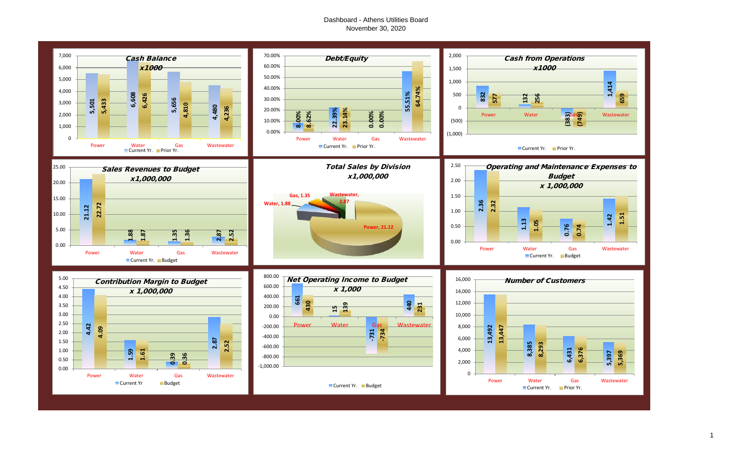# Dashboard - Athens Utilities Board November 30, 2020

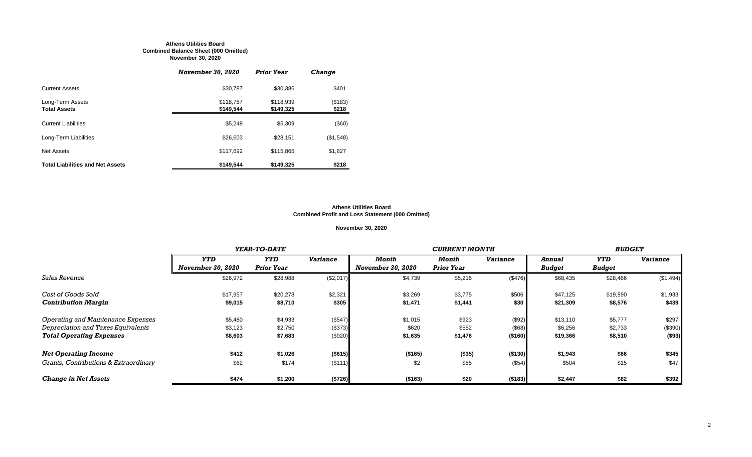#### **Athens Utilities Board Combined Balance Sheet (000 Omitted) November 30, 2020**

|                                         | <b>November 30, 2020</b> | <b>Prior Year</b>      | <b>Change</b>    |
|-----------------------------------------|--------------------------|------------------------|------------------|
| <b>Current Assets</b>                   | \$30,787                 | \$30,386               | \$401            |
| Long-Term Assets<br><b>Total Assets</b> | \$118,757<br>\$149.544   | \$118,939<br>\$149,325 | (\$183)<br>\$218 |
| <b>Current Liabilities</b>              | \$5,249                  | \$5,309                | (\$60)           |
| Long-Term Liabilities                   | \$26,603                 | \$28,151               | (\$1,548)        |
| Net Assets                              | \$117,692                | \$115,865              | \$1,827          |
| <b>Total Liabilities and Net Assets</b> | \$149.544                | \$149.325              | \$218            |

#### **Athens Utilities Board Combined Profit and Loss Statement (000 Omitted)**

#### **November 30, 2020**

|                                       |                          | YEAR-TO-DATE      |                 |                          |                   | <b>BUDGET</b>   |               |            |                 |
|---------------------------------------|--------------------------|-------------------|-----------------|--------------------------|-------------------|-----------------|---------------|------------|-----------------|
|                                       | <b>YTD</b>               | <b>YTD</b>        | <b>Variance</b> | Month                    | Month             | <b>Variance</b> | Annual        | <b>YTD</b> | <b>Variance</b> |
|                                       | <b>November 30, 2020</b> | <b>Prior Year</b> |                 | <b>November 30, 2020</b> | <b>Prior Year</b> |                 | <b>Budget</b> | Budget     |                 |
| <b>Sales Revenue</b>                  | \$26,972                 | \$28,988          | (\$2,017)       | \$4,739                  | \$5,216           | (\$476)         | \$68,435      | \$28,466   | (\$1,494)       |
| Cost of Goods Sold                    | \$17,957                 | \$20,278          | \$2,321         | \$3,269                  | \$3,775           | \$506           | \$47,125      | \$19,890   | \$1,933         |
| <b>Contribution Margin</b>            | \$9,015                  | \$8,710           | \$305           | \$1,471                  | \$1,441           | \$30            | \$21,309      | \$8,576    | \$439           |
| Operating and Maintenance Expenses    | \$5,480                  | \$4,933           | (\$547)         | \$1,015                  | \$923             | (\$92)          | \$13,110      | \$5,777    | \$297           |
| Depreciation and Taxes Equivalents    | \$3,123                  | \$2,750           | (\$373)         | \$620                    | \$552             | (\$68)          | \$6,256       | \$2,733    | (\$390)         |
| <b>Total Operating Expenses</b>       | \$8,603                  | \$7,683           | (\$920)         | \$1,635                  | \$1,476           | ( \$160)        | \$19,366      | \$8,510    | ( \$93)         |
| <b>Net Operating Income</b>           | \$412                    | \$1,026           | (\$615)         | (\$165)                  | (\$35)            | ( \$130)        | \$1,943       | \$66       | \$345           |
| Grants, Contributions & Extraordinary | \$62                     | \$174             | (\$111)         | \$2                      | \$55              | (\$54)          | \$504         | \$15       | \$47            |
| <b>Change in Net Assets</b>           | \$474                    | \$1,200           | (\$726)         | (\$163)                  | \$20              | ( \$183)        | \$2,447       | \$82       | \$392           |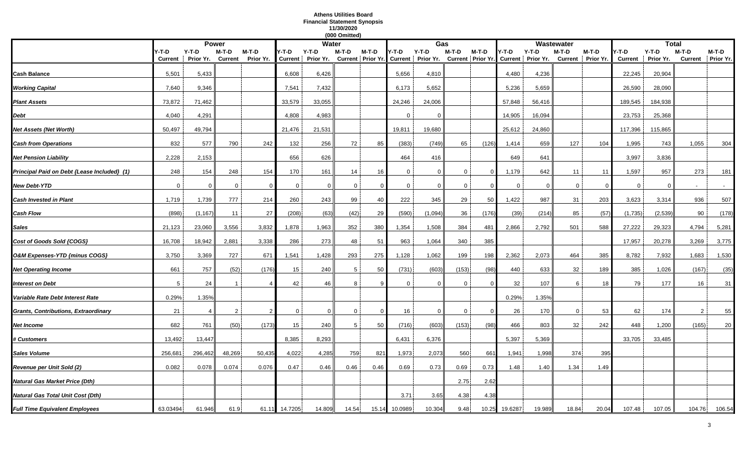# **Athens Utilities Board Financial Statement Synopsis 11/30/2020**

|                                             |                  |                      |                  |                      |          |                                                                                                              | (000 Omitted) |          |             |              |              |              |         |         |                |                              |                         |                    |                            |        |
|---------------------------------------------|------------------|----------------------|------------------|----------------------|----------|--------------------------------------------------------------------------------------------------------------|---------------|----------|-------------|--------------|--------------|--------------|---------|---------|----------------|------------------------------|-------------------------|--------------------|----------------------------|--------|
|                                             |                  | <b>Power</b>         |                  |                      |          | <b>Water</b>                                                                                                 |               |          |             | Gas          |              |              |         |         | Wastewater     |                              |                         | <b>Total</b>       |                            |        |
|                                             | Y-T-D<br>Current | $Y-T-D$<br>Prior Yr. | M-T-D<br>Current | $M-T-D$<br>Prior Yr. | Y-T-D    | Y-T-D<br>Current   Prior Yr. Current   Prior Yr. Current   Prior Yr. Current   Prior Yr. Current   Prior Yr. | M-T-D         | $M-T-D$  | Y-T-D       | $Y-T-D$      | $M-T-D$      | $M-T-D$      | Y-T-D   | $Y-T-D$ | M-T-D          | $M-T-D$<br>Current Prior Yr. | Y-T-D<br><b>Current</b> | Y-T-D<br>Prior Yr. | M-T-D<br>Current Prior Yr. | M-T-D  |
| Cash Balance                                | 5,501            | 5,433                |                  |                      | 6,608    | 6,426                                                                                                        |               |          | 5,656       | 4,810        |              |              | 4,480   | 4,236   |                |                              | 22,245                  | 20,904             |                            |        |
| <b>Working Capital</b>                      | 7,640            | 9,346                |                  |                      | 7,541    | 7,432                                                                                                        |               |          | 6,173       | 5,652        |              |              | 5,236   | 5,659   |                |                              | 26,590                  | 28,090             |                            |        |
| <b>Plant Assets</b>                         | 73,872           | 71,462               |                  |                      | 33,579   | 33,055                                                                                                       |               |          | 24,246      | 24,006       |              |              | 57,848  | 56,416  |                |                              | 189,545                 | 184,938            |                            |        |
| Debt                                        | 4,040            | 4,291                |                  |                      | 4,808    | 4,983                                                                                                        |               |          | $\Omega$    | $\Omega$     |              |              | 14,905  | 16,094  |                |                              | 23,753                  | 25,368             |                            |        |
| Net Assets (Net Worth)                      | 50,497           | 49,794               |                  |                      | 21,476   | 21,531                                                                                                       |               |          | 19,811      | 19,680       |              |              | 25,612  | 24,860  |                |                              | 117,396                 | 115,865            |                            |        |
| <b>Cash from Operations</b>                 | 832              | 577                  | 790              | 242                  | 132      | 256                                                                                                          | 72            | 85       | (383)       | (749)        | 65           | (126)        | 1,414   | 659     | 127            | 104                          | 1,995                   | 743                | 1,055                      | 304    |
| Net Pension Liability                       | 2,228            | 2,153                |                  |                      | 656      | 626                                                                                                          |               |          | 464         | 416          |              |              | 649     | 641     |                |                              | 3,997                   | 3,836              |                            |        |
| Principal Paid on Debt {Lease Included} (1) | 248              | 154                  | 248              | 154                  | 170      | 161                                                                                                          | 14            | 16       | $\mathbf 0$ | $\mathbf{0}$ | $\mathbf 0$  | <sup>0</sup> | 1,179   | 642     | 11             | 11                           | 1,597                   | 957                | 273                        | 181    |
| New Debt-YTD                                | $\mathbf 0$      | $\Omega$             | $\mathbf 0$      | $\Omega$             | $\Omega$ | $\Omega$                                                                                                     | 0             | $\Omega$ | $\Omega$    | $\Omega$     | 0            |              | 0       | 0       | 0              |                              | 0                       | $\Omega$           |                            | $\sim$ |
| <b>Cash Invested in Plant</b>               | 1,719            | 1,739                | 777              | 214                  | 260      | 243                                                                                                          | 99            | 40       | 222         | 345          | 29           | 50           | 1,422   | 987     | 31             | 203                          | 3,623                   | 3,314              | 936                        | 507    |
| Cash Flow                                   | (898)            | (1, 167)             | 11               | 27                   | (208)    | (63)                                                                                                         | (42)          | 29       | (590)       | (1,094)      | 36           | (176)        | (39)    | (214)   | 85             | (57)                         | (1,735)                 | (2,539)            | 90                         | (178)  |
| Sales                                       | 21,123           | 23,060               | 3,556            | 3,832                | 1,878    | 1,963                                                                                                        | 352           | 380      | 1,354       | 1,508        | 384          | 481          | 2,866   | 2,792   | 501            | 588                          | 27,222                  | 29,323             | 4,794                      | 5,281  |
| Cost of Goods Sold {COGS}                   | 16,708           | 18,942               | 2,881            | 3,338                | 286      | 273                                                                                                          | 48            | 51       | 963         | 1,064        | 340          | 385          |         |         |                |                              | 17,957                  | 20,278             | 3,269                      | 3,775  |
| O&M Expenses-YTD {minus COGS}               | 3,750            | 3,369                | 727              | 671                  | 1,541    | 1,428                                                                                                        | 293           | 275      | 1,128       | 1,062        | 199          | 198          | 2,362   | 2,073   | 464            | 385                          | 8,782                   | 7,932              | 1,683                      | 1,530  |
| <b>Net Operating Income</b>                 | 661              | 757                  | (52)             | (176)                | 15       | 240                                                                                                          | 5             | 50       | (731)       | (603)        | (153)        | (98)         | 440     | 633     | 32             | 189                          | 385                     | 1,026              | (167)                      | (35)   |
| <b>Interest on Debt</b>                     | 5                | 24                   |                  |                      | 42       | 46                                                                                                           | 8             |          | $\Omega$    | $\Omega$     | $\Omega$     |              | 32      | 107     | 6              | 18                           | 79                      | 177                | 16                         | 31     |
| Variable Rate Debt Interest Rate            | 0.29%            | 1.35%                |                  |                      |          |                                                                                                              |               |          |             |              |              |              | 0.29%   | 1.35%   |                |                              |                         |                    |                            |        |
| Grants, Contributions, Extraordinary        | 21               | $\overline{4}$       | 2                | $\overline{2}$       | $\Omega$ | $\Omega$                                                                                                     | $\mathbf 0$   | $\Omega$ | 16          | $\Omega$     | $\mathbf{0}$ | $\Omega$     | 26      | 170     | $\overline{0}$ | 53                           | 62                      | 174                | 2                          | 55     |
| Net Income                                  | 682              | 761                  | (50)             | (173)                | 15       | 240                                                                                                          | 5             | 50       | (716)       | (603)        | (153)        | (98)         | 466     | 803     | 32             | 242                          | 448                     | 1,200              | (165)                      | 20     |
| <b>‡ Customers</b>                          | 13,492           | 13,447               |                  |                      | 8,385    | 8,293                                                                                                        |               |          | 6,431       | 6,376        |              |              | 5,397   | 5,369   |                |                              | 33,705                  | 33,485             |                            |        |
| Sales Volume                                | 256,681          | 296,462              | 48,269           | 50,435               | 4,022    | 4,285                                                                                                        | 759           | 821      | 1,973       | 2,073        | 560          | 661          | 1,941   | 1,998   | 374            | 395                          |                         |                    |                            |        |
| Revenue per Unit Sold (2)                   | 0.082            | 0.078                | 0.074            | 0.076                | 0.47     | 0.46                                                                                                         | 0.46          | 0.46     | 0.69        | 0.73         | 0.69         | 0.73         | 1.48    | 1.40    | 1.34           | 1.49                         |                         |                    |                            |        |
| Natural Gas Market Price (Dth)              |                  |                      |                  |                      |          |                                                                                                              |               |          |             |              | 2.75         | 2.62         |         |         |                |                              |                         |                    |                            |        |
| Natural Gas Total Unit Cost (Dth)           |                  |                      |                  |                      |          |                                                                                                              |               |          | 3.71        | 3.65         | 4.38         | 4.38         |         |         |                |                              |                         |                    |                            |        |
| <b>Full Time Equivalent Employees</b>       | 63.03494         | 61.946               | 61.9             | 61.11                | 14.7205  | 14.809                                                                                                       | 14.54         | 15.14    | 10.0989     | 10.304       | 9.48         | 10.25        | 19.6287 | 19.989  | 18.84          | 20.04                        | 107.48                  | 107.05             | 104.76                     | 106.54 |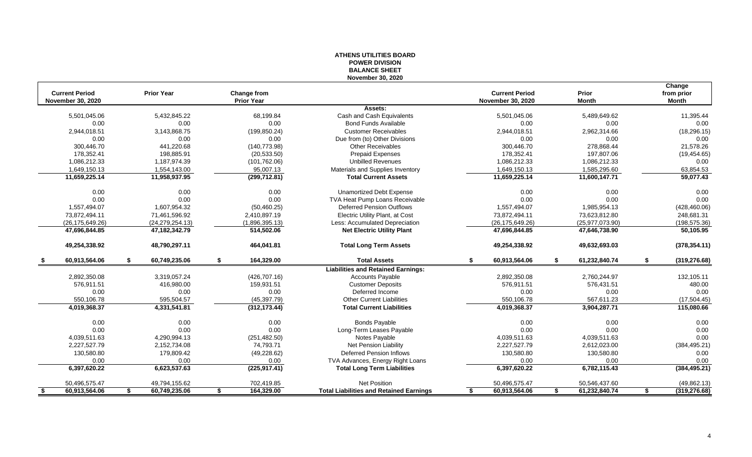| <b>Current Period</b><br><b>Prior Year</b><br><b>Current Period</b><br>Prior<br>Change from<br><b>Prior Year</b><br><b>November 30, 2020</b><br><b>November 30, 2020</b><br><b>Month</b><br><b>Assets:</b><br>68,199.84<br>5,501,045.06<br>5,432,845.22<br>Cash and Cash Equivalents<br>5,501,045.06<br>5,489,649.62<br>0.00<br>0.00<br>0.00<br><b>Bond Funds Available</b><br>0.00<br>0.00<br>2,944,018.51<br>3,143,868.75<br>(199, 850.24)<br><b>Customer Receivables</b><br>2,944,018.51<br>2,962,314.66<br>0.00<br>0.00<br>0.00<br>0.00<br>0.00<br>Due from (to) Other Divisions<br>441,220.68<br>(140, 773.98)<br><b>Other Receivables</b><br>278,868.44<br>300.446.70<br>300,446.70<br>198,885.91<br>197,807.06<br>178,352.41<br>(20, 533.50)<br><b>Prepaid Expenses</b><br>178,352.41<br>1,086,212.33<br>1,187,974.39<br><b>Unbilled Revenues</b><br>1,086,212.33<br>(101, 762.06)<br>1,086,212.33<br>1,649,150.13<br>1,649,150.13<br>1,554,143.00<br>95,007.13<br>Materials and Supplies Inventory<br>1,585,295.60<br>11,659,225.14<br>11,958,937.95<br><b>Total Current Assets</b><br>11,659,225.14<br>11,600,147.71<br>(299, 712.81)<br>0.00<br>0.00<br>0.00<br>0.00<br><b>Unamortized Debt Expense</b><br>0.00<br>0.00<br>0.00<br>0.00<br>TVA Heat Pump Loans Receivable<br>0.00<br>0.00<br><b>Deferred Pension Outflows</b><br>1,557,494.07<br>1,557,494.07<br>1,607,954.32<br>(50, 460.25)<br>1,985,954.13<br>Electric Utility Plant, at Cost<br>73,872,494.11<br>71,461,596.92<br>2,410,897.19<br>73,872,494.11<br>73,623,812.80<br>(26, 175, 649.26)<br>(1,896,395.13)<br>Less: Accumulated Depreciation<br>(26, 175, 649.26)<br>(25, 977, 073.90)<br>(24, 279, 254.13)<br>47,696,844.85<br>514,502.06<br><b>Net Electric Utility Plant</b><br>47,696,844.85<br>47,646,738.90<br>47,182,342.79<br>49,254,338.92<br>48,790,297.11<br>464,041.81<br>49,254,338.92<br><b>Total Long Term Assets</b><br>49,632,693.03<br>60,913,564.06<br>60,749,235.06<br>164,329.00<br><b>Total Assets</b><br>60,913,564.06<br>61,232,840.74<br>\$<br>S<br>-S<br>£.<br>S<br><b>Liabilities and Retained Earnings:</b><br>2,892,350.08<br>3,319,057.24<br>(426, 707.16)<br><b>Accounts Payable</b><br>2,892,350.08<br>2,760,244.97<br>576,911.51<br>416,980.00<br>159,931.51<br><b>Customer Deposits</b><br>576.911.51<br>576,431.51<br>0.00<br>0.00<br>0.00<br>Deferred Income<br>0.00<br>0.00<br>550,106.78<br>595,504.57<br>(45, 397.79)<br><b>Other Current Liabilities</b><br>550,106.78<br>567,611.23<br>3,904,287.71<br>4,019,368.37<br>4,331,541.81<br>(312, 173.44)<br><b>Total Current Liabilities</b><br>4,019,368.37<br><b>Bonds Payable</b><br>0.00<br>0.00<br>0.00<br>0.00<br>0.00<br>0.00<br>0.00<br>0.00<br>0.00<br>0.00<br>Long-Term Leases Payable |  | ייטוטו זו דום אז ט<br><b>BALANCE SHEET</b> |  |                            |
|------------------------------------------------------------------------------------------------------------------------------------------------------------------------------------------------------------------------------------------------------------------------------------------------------------------------------------------------------------------------------------------------------------------------------------------------------------------------------------------------------------------------------------------------------------------------------------------------------------------------------------------------------------------------------------------------------------------------------------------------------------------------------------------------------------------------------------------------------------------------------------------------------------------------------------------------------------------------------------------------------------------------------------------------------------------------------------------------------------------------------------------------------------------------------------------------------------------------------------------------------------------------------------------------------------------------------------------------------------------------------------------------------------------------------------------------------------------------------------------------------------------------------------------------------------------------------------------------------------------------------------------------------------------------------------------------------------------------------------------------------------------------------------------------------------------------------------------------------------------------------------------------------------------------------------------------------------------------------------------------------------------------------------------------------------------------------------------------------------------------------------------------------------------------------------------------------------------------------------------------------------------------------------------------------------------------------------------------------------------------------------------------------------------------------------------------------------------------------------------------------------------------------------------------------------------------------------------------------------------------------------------------------------------------------------------------------------------------------------------------------------------|--|--------------------------------------------|--|----------------------------|
|                                                                                                                                                                                                                                                                                                                                                                                                                                                                                                                                                                                                                                                                                                                                                                                                                                                                                                                                                                                                                                                                                                                                                                                                                                                                                                                                                                                                                                                                                                                                                                                                                                                                                                                                                                                                                                                                                                                                                                                                                                                                                                                                                                                                                                                                                                                                                                                                                                                                                                                                                                                                                                                                                                                                                                  |  | November 30, 2020                          |  |                            |
|                                                                                                                                                                                                                                                                                                                                                                                                                                                                                                                                                                                                                                                                                                                                                                                                                                                                                                                                                                                                                                                                                                                                                                                                                                                                                                                                                                                                                                                                                                                                                                                                                                                                                                                                                                                                                                                                                                                                                                                                                                                                                                                                                                                                                                                                                                                                                                                                                                                                                                                                                                                                                                                                                                                                                                  |  |                                            |  | Change                     |
|                                                                                                                                                                                                                                                                                                                                                                                                                                                                                                                                                                                                                                                                                                                                                                                                                                                                                                                                                                                                                                                                                                                                                                                                                                                                                                                                                                                                                                                                                                                                                                                                                                                                                                                                                                                                                                                                                                                                                                                                                                                                                                                                                                                                                                                                                                                                                                                                                                                                                                                                                                                                                                                                                                                                                                  |  |                                            |  | from prior<br><b>Month</b> |
|                                                                                                                                                                                                                                                                                                                                                                                                                                                                                                                                                                                                                                                                                                                                                                                                                                                                                                                                                                                                                                                                                                                                                                                                                                                                                                                                                                                                                                                                                                                                                                                                                                                                                                                                                                                                                                                                                                                                                                                                                                                                                                                                                                                                                                                                                                                                                                                                                                                                                                                                                                                                                                                                                                                                                                  |  |                                            |  |                            |
|                                                                                                                                                                                                                                                                                                                                                                                                                                                                                                                                                                                                                                                                                                                                                                                                                                                                                                                                                                                                                                                                                                                                                                                                                                                                                                                                                                                                                                                                                                                                                                                                                                                                                                                                                                                                                                                                                                                                                                                                                                                                                                                                                                                                                                                                                                                                                                                                                                                                                                                                                                                                                                                                                                                                                                  |  |                                            |  | 11,395.44                  |
|                                                                                                                                                                                                                                                                                                                                                                                                                                                                                                                                                                                                                                                                                                                                                                                                                                                                                                                                                                                                                                                                                                                                                                                                                                                                                                                                                                                                                                                                                                                                                                                                                                                                                                                                                                                                                                                                                                                                                                                                                                                                                                                                                                                                                                                                                                                                                                                                                                                                                                                                                                                                                                                                                                                                                                  |  |                                            |  | 0.00                       |
|                                                                                                                                                                                                                                                                                                                                                                                                                                                                                                                                                                                                                                                                                                                                                                                                                                                                                                                                                                                                                                                                                                                                                                                                                                                                                                                                                                                                                                                                                                                                                                                                                                                                                                                                                                                                                                                                                                                                                                                                                                                                                                                                                                                                                                                                                                                                                                                                                                                                                                                                                                                                                                                                                                                                                                  |  |                                            |  | (18, 296.15)               |
|                                                                                                                                                                                                                                                                                                                                                                                                                                                                                                                                                                                                                                                                                                                                                                                                                                                                                                                                                                                                                                                                                                                                                                                                                                                                                                                                                                                                                                                                                                                                                                                                                                                                                                                                                                                                                                                                                                                                                                                                                                                                                                                                                                                                                                                                                                                                                                                                                                                                                                                                                                                                                                                                                                                                                                  |  |                                            |  | 0.00                       |
|                                                                                                                                                                                                                                                                                                                                                                                                                                                                                                                                                                                                                                                                                                                                                                                                                                                                                                                                                                                                                                                                                                                                                                                                                                                                                                                                                                                                                                                                                                                                                                                                                                                                                                                                                                                                                                                                                                                                                                                                                                                                                                                                                                                                                                                                                                                                                                                                                                                                                                                                                                                                                                                                                                                                                                  |  |                                            |  | 21,578.26                  |
|                                                                                                                                                                                                                                                                                                                                                                                                                                                                                                                                                                                                                                                                                                                                                                                                                                                                                                                                                                                                                                                                                                                                                                                                                                                                                                                                                                                                                                                                                                                                                                                                                                                                                                                                                                                                                                                                                                                                                                                                                                                                                                                                                                                                                                                                                                                                                                                                                                                                                                                                                                                                                                                                                                                                                                  |  |                                            |  | (19, 454.65)               |
|                                                                                                                                                                                                                                                                                                                                                                                                                                                                                                                                                                                                                                                                                                                                                                                                                                                                                                                                                                                                                                                                                                                                                                                                                                                                                                                                                                                                                                                                                                                                                                                                                                                                                                                                                                                                                                                                                                                                                                                                                                                                                                                                                                                                                                                                                                                                                                                                                                                                                                                                                                                                                                                                                                                                                                  |  |                                            |  | 0.00                       |
|                                                                                                                                                                                                                                                                                                                                                                                                                                                                                                                                                                                                                                                                                                                                                                                                                                                                                                                                                                                                                                                                                                                                                                                                                                                                                                                                                                                                                                                                                                                                                                                                                                                                                                                                                                                                                                                                                                                                                                                                                                                                                                                                                                                                                                                                                                                                                                                                                                                                                                                                                                                                                                                                                                                                                                  |  |                                            |  | 63,854.53                  |
|                                                                                                                                                                                                                                                                                                                                                                                                                                                                                                                                                                                                                                                                                                                                                                                                                                                                                                                                                                                                                                                                                                                                                                                                                                                                                                                                                                                                                                                                                                                                                                                                                                                                                                                                                                                                                                                                                                                                                                                                                                                                                                                                                                                                                                                                                                                                                                                                                                                                                                                                                                                                                                                                                                                                                                  |  |                                            |  | 59,077.43                  |
|                                                                                                                                                                                                                                                                                                                                                                                                                                                                                                                                                                                                                                                                                                                                                                                                                                                                                                                                                                                                                                                                                                                                                                                                                                                                                                                                                                                                                                                                                                                                                                                                                                                                                                                                                                                                                                                                                                                                                                                                                                                                                                                                                                                                                                                                                                                                                                                                                                                                                                                                                                                                                                                                                                                                                                  |  |                                            |  |                            |
|                                                                                                                                                                                                                                                                                                                                                                                                                                                                                                                                                                                                                                                                                                                                                                                                                                                                                                                                                                                                                                                                                                                                                                                                                                                                                                                                                                                                                                                                                                                                                                                                                                                                                                                                                                                                                                                                                                                                                                                                                                                                                                                                                                                                                                                                                                                                                                                                                                                                                                                                                                                                                                                                                                                                                                  |  |                                            |  | 0.00                       |
|                                                                                                                                                                                                                                                                                                                                                                                                                                                                                                                                                                                                                                                                                                                                                                                                                                                                                                                                                                                                                                                                                                                                                                                                                                                                                                                                                                                                                                                                                                                                                                                                                                                                                                                                                                                                                                                                                                                                                                                                                                                                                                                                                                                                                                                                                                                                                                                                                                                                                                                                                                                                                                                                                                                                                                  |  |                                            |  | 0.00                       |
|                                                                                                                                                                                                                                                                                                                                                                                                                                                                                                                                                                                                                                                                                                                                                                                                                                                                                                                                                                                                                                                                                                                                                                                                                                                                                                                                                                                                                                                                                                                                                                                                                                                                                                                                                                                                                                                                                                                                                                                                                                                                                                                                                                                                                                                                                                                                                                                                                                                                                                                                                                                                                                                                                                                                                                  |  |                                            |  | (428, 460.06)              |
|                                                                                                                                                                                                                                                                                                                                                                                                                                                                                                                                                                                                                                                                                                                                                                                                                                                                                                                                                                                                                                                                                                                                                                                                                                                                                                                                                                                                                                                                                                                                                                                                                                                                                                                                                                                                                                                                                                                                                                                                                                                                                                                                                                                                                                                                                                                                                                                                                                                                                                                                                                                                                                                                                                                                                                  |  |                                            |  | 248,681.31                 |
|                                                                                                                                                                                                                                                                                                                                                                                                                                                                                                                                                                                                                                                                                                                                                                                                                                                                                                                                                                                                                                                                                                                                                                                                                                                                                                                                                                                                                                                                                                                                                                                                                                                                                                                                                                                                                                                                                                                                                                                                                                                                                                                                                                                                                                                                                                                                                                                                                                                                                                                                                                                                                                                                                                                                                                  |  |                                            |  | (198, 575.36)              |
|                                                                                                                                                                                                                                                                                                                                                                                                                                                                                                                                                                                                                                                                                                                                                                                                                                                                                                                                                                                                                                                                                                                                                                                                                                                                                                                                                                                                                                                                                                                                                                                                                                                                                                                                                                                                                                                                                                                                                                                                                                                                                                                                                                                                                                                                                                                                                                                                                                                                                                                                                                                                                                                                                                                                                                  |  |                                            |  | 50,105.95                  |
|                                                                                                                                                                                                                                                                                                                                                                                                                                                                                                                                                                                                                                                                                                                                                                                                                                                                                                                                                                                                                                                                                                                                                                                                                                                                                                                                                                                                                                                                                                                                                                                                                                                                                                                                                                                                                                                                                                                                                                                                                                                                                                                                                                                                                                                                                                                                                                                                                                                                                                                                                                                                                                                                                                                                                                  |  |                                            |  | (378, 354.11)              |
|                                                                                                                                                                                                                                                                                                                                                                                                                                                                                                                                                                                                                                                                                                                                                                                                                                                                                                                                                                                                                                                                                                                                                                                                                                                                                                                                                                                                                                                                                                                                                                                                                                                                                                                                                                                                                                                                                                                                                                                                                                                                                                                                                                                                                                                                                                                                                                                                                                                                                                                                                                                                                                                                                                                                                                  |  |                                            |  | (319, 276.68)              |
|                                                                                                                                                                                                                                                                                                                                                                                                                                                                                                                                                                                                                                                                                                                                                                                                                                                                                                                                                                                                                                                                                                                                                                                                                                                                                                                                                                                                                                                                                                                                                                                                                                                                                                                                                                                                                                                                                                                                                                                                                                                                                                                                                                                                                                                                                                                                                                                                                                                                                                                                                                                                                                                                                                                                                                  |  |                                            |  |                            |
|                                                                                                                                                                                                                                                                                                                                                                                                                                                                                                                                                                                                                                                                                                                                                                                                                                                                                                                                                                                                                                                                                                                                                                                                                                                                                                                                                                                                                                                                                                                                                                                                                                                                                                                                                                                                                                                                                                                                                                                                                                                                                                                                                                                                                                                                                                                                                                                                                                                                                                                                                                                                                                                                                                                                                                  |  |                                            |  | 132,105.11                 |
|                                                                                                                                                                                                                                                                                                                                                                                                                                                                                                                                                                                                                                                                                                                                                                                                                                                                                                                                                                                                                                                                                                                                                                                                                                                                                                                                                                                                                                                                                                                                                                                                                                                                                                                                                                                                                                                                                                                                                                                                                                                                                                                                                                                                                                                                                                                                                                                                                                                                                                                                                                                                                                                                                                                                                                  |  |                                            |  | 480.00                     |
|                                                                                                                                                                                                                                                                                                                                                                                                                                                                                                                                                                                                                                                                                                                                                                                                                                                                                                                                                                                                                                                                                                                                                                                                                                                                                                                                                                                                                                                                                                                                                                                                                                                                                                                                                                                                                                                                                                                                                                                                                                                                                                                                                                                                                                                                                                                                                                                                                                                                                                                                                                                                                                                                                                                                                                  |  |                                            |  | 0.00                       |
|                                                                                                                                                                                                                                                                                                                                                                                                                                                                                                                                                                                                                                                                                                                                                                                                                                                                                                                                                                                                                                                                                                                                                                                                                                                                                                                                                                                                                                                                                                                                                                                                                                                                                                                                                                                                                                                                                                                                                                                                                                                                                                                                                                                                                                                                                                                                                                                                                                                                                                                                                                                                                                                                                                                                                                  |  |                                            |  | (17,504.45)                |
|                                                                                                                                                                                                                                                                                                                                                                                                                                                                                                                                                                                                                                                                                                                                                                                                                                                                                                                                                                                                                                                                                                                                                                                                                                                                                                                                                                                                                                                                                                                                                                                                                                                                                                                                                                                                                                                                                                                                                                                                                                                                                                                                                                                                                                                                                                                                                                                                                                                                                                                                                                                                                                                                                                                                                                  |  |                                            |  | 115,080.66                 |
|                                                                                                                                                                                                                                                                                                                                                                                                                                                                                                                                                                                                                                                                                                                                                                                                                                                                                                                                                                                                                                                                                                                                                                                                                                                                                                                                                                                                                                                                                                                                                                                                                                                                                                                                                                                                                                                                                                                                                                                                                                                                                                                                                                                                                                                                                                                                                                                                                                                                                                                                                                                                                                                                                                                                                                  |  |                                            |  | 0.00                       |
|                                                                                                                                                                                                                                                                                                                                                                                                                                                                                                                                                                                                                                                                                                                                                                                                                                                                                                                                                                                                                                                                                                                                                                                                                                                                                                                                                                                                                                                                                                                                                                                                                                                                                                                                                                                                                                                                                                                                                                                                                                                                                                                                                                                                                                                                                                                                                                                                                                                                                                                                                                                                                                                                                                                                                                  |  |                                            |  | 0.00                       |
| 4,039,511.63<br>4,290,994.13<br>(251, 482.50)<br>Notes Payable<br>4,039,511.63<br>4,039,511.63                                                                                                                                                                                                                                                                                                                                                                                                                                                                                                                                                                                                                                                                                                                                                                                                                                                                                                                                                                                                                                                                                                                                                                                                                                                                                                                                                                                                                                                                                                                                                                                                                                                                                                                                                                                                                                                                                                                                                                                                                                                                                                                                                                                                                                                                                                                                                                                                                                                                                                                                                                                                                                                                   |  |                                            |  | 0.00                       |
| 2,227,527.79<br>2,152,734.08<br>74,793.71<br>Net Pension Liability<br>2,227,527.79<br>2,612,023.00                                                                                                                                                                                                                                                                                                                                                                                                                                                                                                                                                                                                                                                                                                                                                                                                                                                                                                                                                                                                                                                                                                                                                                                                                                                                                                                                                                                                                                                                                                                                                                                                                                                                                                                                                                                                                                                                                                                                                                                                                                                                                                                                                                                                                                                                                                                                                                                                                                                                                                                                                                                                                                                               |  |                                            |  | (384, 495.21)              |
| 130,580.80<br>179,809.42<br>(49, 228.62)<br><b>Deferred Pension Inflows</b><br>130,580.80<br>130,580.80                                                                                                                                                                                                                                                                                                                                                                                                                                                                                                                                                                                                                                                                                                                                                                                                                                                                                                                                                                                                                                                                                                                                                                                                                                                                                                                                                                                                                                                                                                                                                                                                                                                                                                                                                                                                                                                                                                                                                                                                                                                                                                                                                                                                                                                                                                                                                                                                                                                                                                                                                                                                                                                          |  |                                            |  | 0.00                       |
| 0.00<br>TVA Advances, Energy Right Loans<br>0.00<br>0.00<br>0.00<br>0.00                                                                                                                                                                                                                                                                                                                                                                                                                                                                                                                                                                                                                                                                                                                                                                                                                                                                                                                                                                                                                                                                                                                                                                                                                                                                                                                                                                                                                                                                                                                                                                                                                                                                                                                                                                                                                                                                                                                                                                                                                                                                                                                                                                                                                                                                                                                                                                                                                                                                                                                                                                                                                                                                                         |  |                                            |  | 0.00                       |
| (225, 917.41)<br>6,397,620.22<br>6,623,537.63<br><b>Total Long Term Liabilities</b><br>6,397,620.22<br>6,782,115.43                                                                                                                                                                                                                                                                                                                                                                                                                                                                                                                                                                                                                                                                                                                                                                                                                                                                                                                                                                                                                                                                                                                                                                                                                                                                                                                                                                                                                                                                                                                                                                                                                                                                                                                                                                                                                                                                                                                                                                                                                                                                                                                                                                                                                                                                                                                                                                                                                                                                                                                                                                                                                                              |  |                                            |  | (384, 495.21)              |
| 50,496,575.47<br>Net Position<br>50,496,575.47<br>50,546,437.60<br>49,794,155.62<br>702,419.85                                                                                                                                                                                                                                                                                                                                                                                                                                                                                                                                                                                                                                                                                                                                                                                                                                                                                                                                                                                                                                                                                                                                                                                                                                                                                                                                                                                                                                                                                                                                                                                                                                                                                                                                                                                                                                                                                                                                                                                                                                                                                                                                                                                                                                                                                                                                                                                                                                                                                                                                                                                                                                                                   |  |                                            |  | (49, 862.13)               |
| 60,913,564.06<br>60,749,235.06<br>164,329.00<br><b>Total Liabilities and Retained Earnings</b><br>60,913,564.06<br>61,232,840.74<br>\$<br>\$<br>\$<br>- \$<br>S<br>S                                                                                                                                                                                                                                                                                                                                                                                                                                                                                                                                                                                                                                                                                                                                                                                                                                                                                                                                                                                                                                                                                                                                                                                                                                                                                                                                                                                                                                                                                                                                                                                                                                                                                                                                                                                                                                                                                                                                                                                                                                                                                                                                                                                                                                                                                                                                                                                                                                                                                                                                                                                             |  |                                            |  | (319, 276.68)              |

# **ATHENS UTILITIES BOARD POWER DIVISION**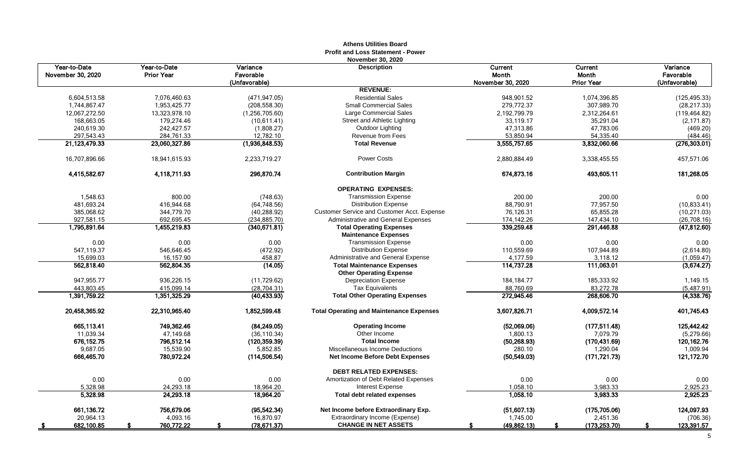|                                   |                                   |                             | <b>Profit and Loss Statement - Power</b><br><b>November 30, 2020</b> |                           |                           |                              |
|-----------------------------------|-----------------------------------|-----------------------------|----------------------------------------------------------------------|---------------------------|---------------------------|------------------------------|
| Year-to-Date<br>November 30, 2020 | Year-to-Date<br><b>Prior Year</b> | Variance<br>Favorable       | <b>Description</b>                                                   | Current<br>Month          | Current<br><b>Month</b>   | <b>Variance</b><br>Favorable |
|                                   |                                   | (Unfavorable)               |                                                                      | November 30, 2020         | <b>Prior Year</b>         | (Unfavorable)                |
|                                   |                                   |                             | <b>REVENUE:</b>                                                      |                           |                           |                              |
| 6,604,513.58                      | 7,076,460.63                      | (471, 947.05)               | <b>Residential Sales</b>                                             | 948,901.52                | 1,074,396.85              | (125, 495.33)                |
| 1,744,867.47                      | 1,953,425.77                      | (208, 558.30)               | <b>Small Commercial Sales</b>                                        | 279,772.37                | 307,989.70                | (28, 217.33)                 |
| 12,067,272.50                     | 13,323,978.10                     | (1,256,705.60)              | Large Commercial Sales                                               | 2,192,799.79              | 2,312,264.61              | (119, 464.82)                |
| 168,663.05                        | 179,274.46                        | (10,611.41)                 | Street and Athletic Lighting                                         | 33,119.17                 | 35,291.04                 | (2, 171.87)                  |
| 240,619.30                        | 242,427.57                        | (1,808.27)                  | Outdoor Lighting                                                     | 47,313.86                 | 47,783.06                 | (469.20)                     |
| 297,543.43<br>21,123,479.33       | 284,761.33<br>23,060,327.86       | 12,782.10<br>(1,936,848.53) | <b>Revenue from Fees</b><br><b>Total Revenue</b>                     | 53,850.94<br>3,555,757.65 | 54,335.40<br>3,832,060.66 | (484.46)<br>(276, 303.01)    |
|                                   |                                   |                             |                                                                      |                           |                           |                              |
| 16,707,896.66                     | 18,941,615.93                     | 2,233,719.27                | <b>Power Costs</b>                                                   | 2,880,884.49              | 3,338,455.55              | 457,571.06                   |
| 4,415,582.67                      | 4,118,711.93                      | 296,870.74                  | <b>Contribution Margin</b>                                           | 674,873.16                | 493,605.11                | 181,268.05                   |
|                                   |                                   |                             | <b>OPERATING EXPENSES:</b>                                           |                           |                           |                              |
| 1,548.63                          | 800.00                            | (748.63)                    | <b>Transmission Expense</b>                                          | 200.00                    | 200.00                    | 0.00                         |
| 481,693.24                        | 416,944.68                        | (64, 748.56)                | <b>Distribution Expense</b>                                          | 88,790.91                 | 77,957.50                 | (10, 833.41)                 |
| 385,068.62                        | 344,779.70                        | (40, 288.92)                | <b>Customer Service and Customer Acct. Expense</b>                   | 76,126.31                 | 65,855.28                 | (10, 271.03)                 |
| 927,581.15                        | 692,695.45                        | (234, 885.70)               | Administrative and General Expenses                                  | 174,142.26                | 147,434.10                | (26,708.16)                  |
| 1,795,891.64                      | 1,455,219.83                      | (340.671.81)                | <b>Total Operating Expenses</b><br><b>Maintenance Expenses</b>       | 339,259.48                | 291,446.88                | (47, 812.60)                 |
| 0.00                              | 0.00                              | 0.00                        | <b>Transmission Expense</b>                                          | 0.00                      | 0.00                      | 0.00                         |
| 547,119.37                        | 546,646.45                        | (472.92)                    | <b>Distribution Expense</b>                                          | 110,559.69                | 107,944.89                | (2,614.80)                   |
| 15,699.03                         | 16,157.90                         | 458.87                      | Administrative and General Expense                                   | 4,177.59                  | 3,118.12                  | (1,059.47)                   |
| 562,818.40                        | 562,804.35                        | (14.05)                     | <b>Total Maintenance Expenses</b>                                    | 114,737.28                | 111,063.01                | (3,674.27)                   |
|                                   |                                   |                             | <b>Other Operating Expense</b>                                       |                           |                           |                              |
| 947,955.77                        | 936,226.15                        | (11, 729.62)                | <b>Depreciation Expense</b>                                          | 184, 184. 77              | 185,333.92                | 1,149.15                     |
| 443,803.45                        | 415,099.14                        | (28, 704.31)                | <b>Tax Equivalents</b>                                               | 88,760.69                 | 83,272.78                 | (5,487.91)                   |
| 1,391,759.22                      | 1.351.325.29                      | (40, 433.93)                | <b>Total Other Operating Expenses</b>                                | 272.945.46                | 268,606.70                | (4,338.76)                   |
| 20,458,365.92                     | 22,310,965.40                     | 1,852,599.48                | <b>Total Operating and Maintenance Expenses</b>                      | 3,607,826.71              | 4,009,572.14              | 401,745.43                   |
| 665.113.41                        | 749.362.46                        | (84, 249.05)                | <b>Operating Income</b>                                              | (52,069.06)               | (177, 511.48)             | 125,442.42                   |
| 11,039.34                         | 47,149.68                         | (36, 110.34)                | Other Income                                                         | 1,800.13                  | 7,079.79                  | (5,279.66)                   |
| 676, 152.75                       | 796,512.14                        | (120, 359, 39)              | <b>Total Income</b>                                                  | (50, 268.93)              | (170, 431.69)             | 120, 162. 76                 |
| 9,687.05                          | 15,539.90                         | 5,852.85                    | Miscellaneous Income Deductions                                      | 280.10                    | 1,290.04                  | 1,009.94                     |
| 666,465.70                        | 780,972.24                        | (114, 506.54)               | <b>Net Income Before Debt Expenses</b>                               | (50, 549.03)              | (171, 721.73)             | 121,172.70                   |
|                                   |                                   |                             | <b>DEBT RELATED EXPENSES:</b>                                        |                           |                           |                              |
| 0.00                              | 0.00                              | 0.00                        | Amortization of Debt Related Expenses                                | 0.00                      | 0.00                      | 0.00                         |
| 5,328.98                          | 24,293.18                         | 18,964.20                   | <b>Interest Expense</b>                                              | 1,058.10                  | 3,983.33                  | 2,925.23                     |
| 5,328.98                          | 24,293.18                         | 18,964.20                   | <b>Total debt related expenses</b>                                   | 1,058.10                  | 3,983.33                  | 2,925.23                     |
| 661,136.72                        | 756,679.06                        | (95, 542.34)                | Net Income before Extraordinary Exp.                                 | (51,607.13)               | (175, 705.06)             | 124,097.93                   |
| 20,964.13                         | 4,093.16                          | 16,870.97                   | Extraordinary Income (Expense)                                       | 1,745.00                  | 2,451.36                  | (706.36)                     |
| 682,100.85                        | 760,772.22                        | (78, 671.37)<br>S           | <b>CHANGE IN NET ASSETS</b>                                          | (49,862.13)               | (173, 253.70)<br>-S       | 123,391.57<br>-S             |

# **Athens Utilities Board**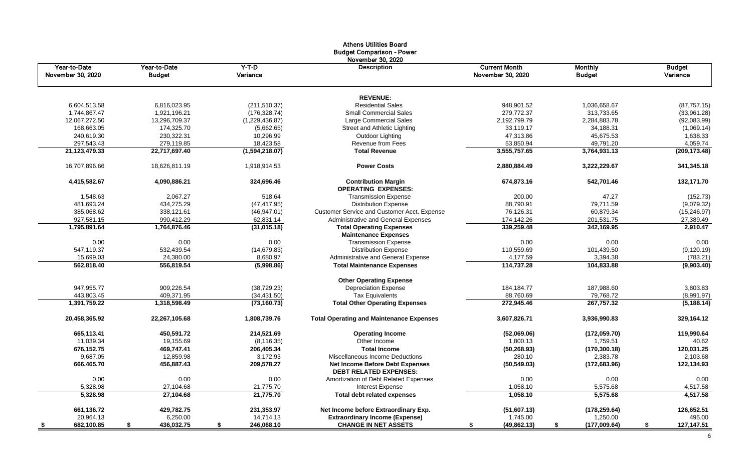|                                   |                               |                     | <b>Budget Comparison - Power</b><br>November 30, 2020                   |                                           |                                 |                           |
|-----------------------------------|-------------------------------|---------------------|-------------------------------------------------------------------------|-------------------------------------------|---------------------------------|---------------------------|
| Year-to-Date<br>November 30, 2020 | Year-to-Date<br><b>Budget</b> | $Y-T-D$<br>Variance | <b>Description</b>                                                      | <b>Current Month</b><br>November 30, 2020 | <b>Monthly</b><br><b>Budget</b> | <b>Budget</b><br>Variance |
|                                   |                               |                     | <b>REVENUE:</b>                                                         |                                           |                                 |                           |
| 6,604,513.58                      | 6,816,023.95                  | (211, 510.37)       | <b>Residential Sales</b>                                                | 948,901.52                                | 1,036,658.67                    | (87, 757.15)              |
| 1,744,867.47                      | 1,921,196.21                  | (176, 328.74)       | <b>Small Commercial Sales</b>                                           | 279,772.37                                | 313,733.65                      | (33,961.28)               |
| 12,067,272.50                     | 13,296,709.37                 | (1,229,436.87)      | Large Commercial Sales                                                  | 2,192,799.79                              | 2,284,883.78                    | (92,083.99)               |
| 168,663.05                        | 174,325.70                    | (5,662.65)          | Street and Athletic Lighting                                            | 33,119.17                                 | 34,188.31                       | (1,069.14)                |
| 240,619.30                        | 230,322.31                    | 10,296.99           | Outdoor Lighting                                                        | 47,313.86                                 | 45,675.53                       | 1,638.33                  |
| 297,543.43                        | 279,119.85                    | 18,423.58           | Revenue from Fees                                                       | 53,850.94                                 | 49,791.20                       | 4,059.74                  |
| 21,123,479.33                     | 22,717,697.40                 | (1,594,218.07)      | <b>Total Revenue</b>                                                    | 3,555,757.65                              | 3,764,931.13                    | (209, 173.48)             |
| 16,707,896.66                     | 18,626,811.19                 | 1,918,914.53        | <b>Power Costs</b>                                                      | 2,880,884.49                              | 3,222,229.67                    | 341,345.18                |
| 4,415,582.67                      | 4,090,886.21                  | 324,696.46          | <b>Contribution Margin</b><br><b>OPERATING EXPENSES:</b>                | 674,873.16                                | 542,701.46                      | 132,171.70                |
| 1,548.63                          | 2,067.27                      | 518.64              | <b>Transmission Expense</b>                                             | 200.00                                    | 47.27                           | (152.73)                  |
| 481,693.24                        | 434,275.29                    | (47, 417.95)        | <b>Distribution Expense</b>                                             | 88,790.91                                 | 79,711.59                       | (9,079.32)                |
| 385,068.62                        | 338,121.61                    | (46, 947.01)        | Customer Service and Customer Acct. Expense                             | 76,126.31                                 | 60,879.34                       | (15, 246.97)              |
| 927,581.15                        | 990,412.29                    | 62,831.14           | Administrative and General Expenses                                     | 174,142.26                                | 201,531.75                      | 27,389.49                 |
| 1,795,891.64                      | 1,764,876.46                  | (31,015.18)         | <b>Total Operating Expenses</b>                                         | 339,259.48                                | 342,169.95                      | 2,910.47                  |
|                                   |                               |                     | <b>Maintenance Expenses</b>                                             |                                           |                                 |                           |
| 0.00                              | 0.00                          | 0.00                | <b>Transmission Expense</b>                                             | 0.00                                      | 0.00                            | 0.00                      |
| 547,119.37                        | 532,439.54                    | (14, 679.83)        | <b>Distribution Expense</b>                                             | 110,559.69                                | 101,439.50                      | (9, 120.19)               |
| 15,699.03                         | 24,380.00                     | 8,680.97            | Administrative and General Expense                                      | 4,177.59                                  | 3,394.38                        | (783.21)                  |
| 562,818.40                        | 556,819.54                    | (5,998.86)          | <b>Total Maintenance Expenses</b>                                       | 114,737.28                                | 104,833.88                      | (9,903.40)                |
|                                   |                               |                     | <b>Other Operating Expense</b>                                          |                                           |                                 |                           |
| 947,955.77                        | 909,226.54                    | (38, 729.23)        | <b>Depreciation Expense</b>                                             | 184, 184. 77                              | 187,988.60                      | 3,803.83                  |
| 443,803.45                        | 409,371.95                    | (34, 431.50)        | <b>Tax Equivalents</b>                                                  | 88,760.69                                 | 79,768.72                       | (8,991.97)                |
| 1,391,759.22                      | 1,318,598.49                  | (73, 160.73)        | <b>Total Other Operating Expenses</b>                                   | 272,945.46                                | 267,757.32                      | (5, 188.14)               |
| 20,458,365.92                     | 22,267,105.68                 | 1,808,739.76        | <b>Total Operating and Maintenance Expenses</b>                         | 3,607,826.71                              | 3,936,990.83                    | 329,164.12                |
| 665,113.41                        | 450,591.72                    | 214,521.69          | <b>Operating Income</b>                                                 | (52,069.06)                               | (172, 059.70)                   | 119,990.64                |
| 11,039.34                         | 19,155.69                     | (8, 116.35)         | Other Income                                                            | 1,800.13                                  | 1,759.51                        | 40.62                     |
| 676,152.75                        | 469,747.41                    | 206,405.34          | <b>Total Income</b>                                                     | (50, 268.93)                              | (170, 300.18)                   | 120,031.25                |
| 9,687.05                          | 12,859.98                     | 3,172.93            | Miscellaneous Income Deductions                                         | 280.10                                    | 2,383.78                        | 2,103.68                  |
| 666,465.70                        | 456,887.43                    | 209,578.27          | <b>Net Income Before Debt Expenses</b><br><b>DEBT RELATED EXPENSES:</b> | (50, 549.03)                              | (172, 683.96)                   | 122,134.93                |
| 0.00                              | 0.00                          | 0.00                | Amortization of Debt Related Expenses                                   | 0.00                                      | 0.00                            | 0.00                      |
| 5,328.98                          | 27,104.68                     | 21,775.70           | <b>Interest Expense</b>                                                 | 1,058.10                                  | 5,575.68                        | 4,517.58                  |
| 5,328.98                          | 27,104.68                     | 21,775.70           | <b>Total debt related expenses</b>                                      | 1,058.10                                  | 5,575.68                        | 4,517.58                  |
| 661,136.72                        | 429,782.75                    | 231,353.97          | Net Income before Extraordinary Exp.                                    | (51,607.13)                               | (178, 259.64)                   | 126,652.51                |
| 20,964.13                         | 6,250.00                      | 14,714.13           | <b>Extraordinary Income (Expense)</b>                                   | 1,745.00                                  | 1,250.00                        | 495.00                    |
| 682,100.85                        | \$<br>436,032.75              | \$<br>246,068.10    | <b>CHANGE IN NET ASSETS</b>                                             | (49, 862.13)<br>\$                        | \$<br>(177,009.64)              | \$<br>127,147.51          |

# Athens Utilities Board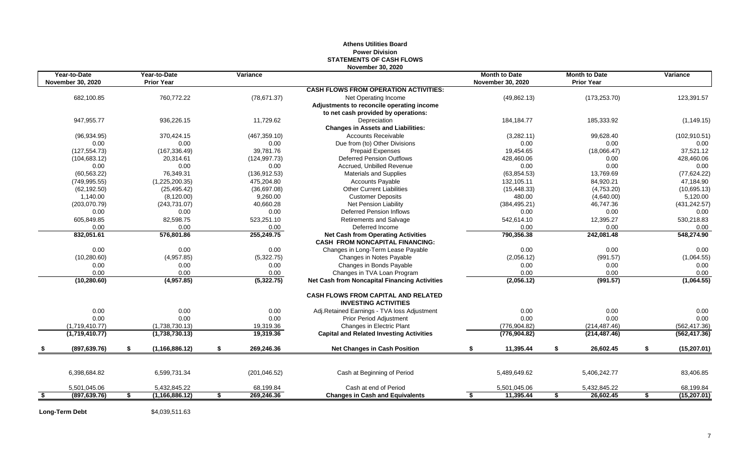# **Athens Utilities Board Power Division STATEMENTS OF CASH FLOWS November 30, 2020**

| Year-to-Date             | Year-to-Date           | Variance              |                                                                           | <b>Month to Date</b>     | <b>Month to Date</b> | Variance              |
|--------------------------|------------------------|-----------------------|---------------------------------------------------------------------------|--------------------------|----------------------|-----------------------|
| <b>November 30, 2020</b> | <b>Prior Year</b>      |                       |                                                                           | <b>November 30, 2020</b> | <b>Prior Year</b>    |                       |
|                          |                        |                       | <b>CASH FLOWS FROM OPERATION ACTIVITIES:</b>                              |                          |                      |                       |
| 682,100.85               | 760,772.22             | (78, 671.37)          | Net Operating Income                                                      | (49, 862.13)             | (173, 253.70)        | 123,391.57            |
|                          |                        |                       | Adjustments to reconcile operating income                                 |                          |                      |                       |
| 947,955.77               | 936,226.15             | 11,729.62             | to net cash provided by operations:<br>Depreciation                       | 184, 184. 77             | 185,333.92           |                       |
|                          |                        |                       | <b>Changes in Assets and Liabilities:</b>                                 |                          |                      | (1, 149.15)           |
|                          | 370,424.15             |                       | <b>Accounts Receivable</b>                                                |                          | 99,628.40            |                       |
| (96, 934.95)<br>0.00     | 0.00                   | (467, 359.10)<br>0.00 | Due from (to) Other Divisions                                             | (3,282.11)<br>0.00       | 0.00                 | (102, 910.51)<br>0.00 |
| (127, 554.73)            | (167, 336.49)          | 39,781.76             | <b>Prepaid Expenses</b>                                                   | 19,454.65                | (18,066.47)          | 37,521.12             |
| (104, 683.12)            | 20,314.61              | (124, 997.73)         | <b>Deferred Pension Outflows</b>                                          | 428,460.06               | 0.00                 | 428,460.06            |
| 0.00                     | 0.00                   | 0.00                  | Accrued. Unbilled Revenue                                                 | 0.00                     | 0.00                 | 0.00                  |
| (60, 563.22)             | 76,349.31              | (136, 912.53)         | <b>Materials and Supplies</b>                                             | (63, 854.53)             | 13,769.69            | (77, 624.22)          |
| (749, 995.55)            | (1,225,200.35)         | 475,204.80            | <b>Accounts Payable</b>                                                   | 132,105.11               | 84,920.21            | 47,184.90             |
| (62, 192.50)             | (25, 495.42)           | (36,697.08)           | <b>Other Current Liabilities</b>                                          | (15, 448.33)             | (4,753.20)           | (10,695.13)           |
| 1,140.00                 | (8, 120.00)            | 9,260.00              | <b>Customer Deposits</b>                                                  | 480.00                   | (4,640.00)           | 5,120.00              |
| (203,070.79)             | (243, 731.07)          | 40,660.28             | Net Pension Liability                                                     | (384, 495.21)            | 46,747.36            | (431, 242.57)         |
| 0.00                     | 0.00                   | 0.00                  | Deferred Pension Inflows                                                  | 0.00                     | 0.00                 | 0.00                  |
| 605,849.85               | 82,598.75              | 523,251.10            | Retirements and Salvage                                                   | 542,614.10               | 12,395.27            | 530,218.83            |
| 0.00                     | 0.00                   | 0.00                  | Deferred Income                                                           | 0.00                     | 0.00                 | 0.00                  |
| 832,051.61               | 576,801.86             | 255,249.75            | <b>Net Cash from Operating Activities</b>                                 | 790,356.38               | 242,081.48           | 548,274.90            |
|                          |                        |                       | <b>CASH FROM NONCAPITAL FINANCING:</b>                                    |                          |                      |                       |
| 0.00                     | 0.00                   | 0.00                  | Changes in Long-Term Lease Payable                                        | 0.00                     | 0.00                 | 0.00                  |
| (10, 280.60)             | (4,957.85)             | (5,322.75)            | Changes in Notes Payable                                                  | (2,056.12)               | (991.57)             | (1,064.55)            |
| 0.00                     | 0.00                   | 0.00                  | Changes in Bonds Payable                                                  | 0.00                     | 0.00                 | 0.00                  |
| 0.00                     | 0.00                   | 0.00                  | Changes in TVA Loan Program                                               | 0.00                     | 0.00                 | 0.00                  |
| (10, 280.60)             | (4,957.85)             | (5,322.75)            | <b>Net Cash from Noncapital Financing Activities</b>                      | (2,056.12)               | (991.57)             | (1,064.55)            |
|                          |                        |                       | <b>CASH FLOWS FROM CAPITAL AND RELATED</b><br><b>INVESTING ACTIVITIES</b> |                          |                      |                       |
| 0.00                     | 0.00                   | 0.00                  | Adj.Retained Earnings - TVA loss Adjustment                               | 0.00                     | 0.00                 | 0.00                  |
| 0.00                     | 0.00                   | 0.00                  | Prior Period Adjustment                                                   | 0.00                     | 0.00                 | 0.00                  |
| (1,719,410.77)           | (1,738,730.13)         | 19,319.36             | Changes in Electric Plant                                                 | (776, 904.82)            | (214, 487.46)        | (562, 417.36)         |
| (1,719,410.77)           | (1,738,730.13)         | 19,319.36             | <b>Capital and Related Investing Activities</b>                           | (776, 904.82)            | (214, 487.46)        | (562, 417.36)         |
| (897, 639.76)            | \$<br>(1, 166, 886.12) | \$<br>269,246.36      | <b>Net Changes in Cash Position</b>                                       | \$<br>11,395.44          | \$<br>26,602.45      | \$<br>(15, 207.01)    |
|                          |                        |                       |                                                                           |                          |                      |                       |
| 6,398,684.82             | 6,599,731.34           | (201, 046.52)         | Cash at Beginning of Period                                               | 5,489,649.62             | 5,406,242.77         | 83,406.85             |
| 5,501,045.06             | 5,432,845.22           | 68,199.84             | Cash at end of Period                                                     | 5,501,045.06             | 5,432,845.22         | 68,199.84             |
| \$<br>(897, 639.76)      | \$<br>(1, 166, 886.12) | \$<br>269,246.36      | <b>Changes in Cash and Equivalents</b>                                    | \$<br>11,395.44          | \$<br>26,602.45      | \$<br>(15, 207.01)    |

**Long-Term Debt** \$4,039,511.63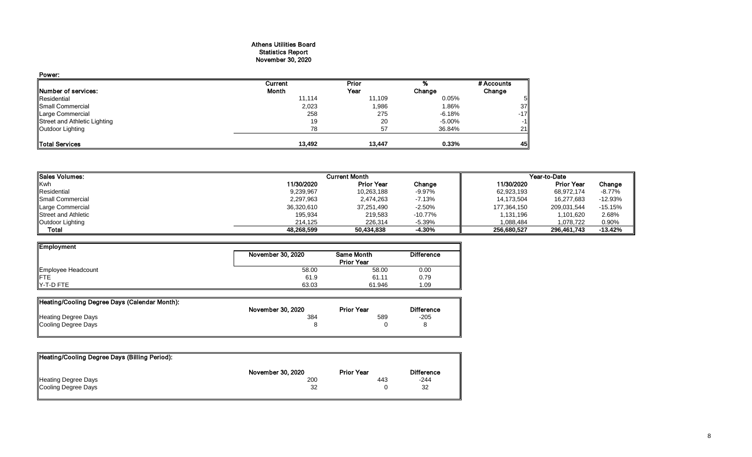### Athens Utilities Board Statistics Report November 30, 2020

| Power:                       |         |        |        |            |
|------------------------------|---------|--------|--------|------------|
|                              | Current | Prior  |        | # Accounts |
| <b>Number of services:</b>   | Month   | Year   | Change | Change     |
| Residential                  | 11,114  | 11,109 | 0.05%  | 51         |
| Small Commercial             | 2,023   | 1,986  | 1.86%  | 37         |
| Large Commercial             | 258     | 275    | -6.18% | $-17$      |
| Street and Athletic Lighting | 19      | 20     | -5.00% | $-1$       |
| Outdoor Lighting             | 78      | 57     | 36.84% | 21         |
| Total Services               | 13,492  | 13,447 | 0.33%  | 45         |

| <b>I</b> ISales Volumes:   |            | <b>Current Month</b> |            | Year-to-Date |                   |           |  |
|----------------------------|------------|----------------------|------------|--------------|-------------------|-----------|--|
| Kwh                        | 11/30/2020 | <b>Prior Year</b>    | Change     | 11/30/2020   | <b>Prior Year</b> | Change    |  |
| Residential                | 9,239,967  | 10,263,188           | $-9.97%$   | 62,923,193   | 68.972.174        | -8.77%    |  |
| Small Commercial           | 2,297,963  | 2.474.263            | $-7.13%$   | 14,173,504   | 16.277.683        | $-12.93%$ |  |
| Large Commercial           | 36,320,610 | 37,251,490           | $-2.50%$   | 177,364,150  | 209,031,544       | $-15.15%$ |  |
| <b>Street and Athletic</b> | 195,934    | 219,583              | $-10.77\%$ | 1,131,196    | 1,101,620         | 2.68%     |  |
| Outdoor Lighting           | 214.125    | 226.314              | $-5.39%$   | 1.088.484    | 1.078.722         | 0.90%     |  |
| Total                      | 48,268,599 | 50,434,838           | $-4.30%$   | 256,680,527  | 296,461,743       | $-13.42%$ |  |

| Employment         |                   |                   |                   |
|--------------------|-------------------|-------------------|-------------------|
|                    | November 30, 2020 | <b>Same Month</b> | <b>Difference</b> |
|                    |                   | <b>Prior Year</b> |                   |
| Employee Headcount | 58.00             | 58.00             | 0.00              |
| <b>IFTE</b>        | 61.9              | 61.11             | 0.79              |
| Y-T-D FTE          | 63.03             | 61.946            | 1.09              |

| Heating/Cooling Degree Days (Calendar Month): |                   |                   |                   |
|-----------------------------------------------|-------------------|-------------------|-------------------|
|                                               | November 30, 2020 | <b>Prior Year</b> | <b>Difference</b> |
| <b>Heating Degree Days</b>                    | 384               | 589               | $-205$            |
| Cooling Degree Days                           |                   |                   |                   |
|                                               |                   |                   |                   |

| Heating/Cooling Degree Days (Billing Period): |                   |                   |                   |
|-----------------------------------------------|-------------------|-------------------|-------------------|
|                                               | November 30, 2020 | <b>Prior Year</b> | <b>Difference</b> |
| Heating Degree Days                           | 200               | 443               | $-244$            |
| Cooling Degree Days                           | 32                |                   | 32                |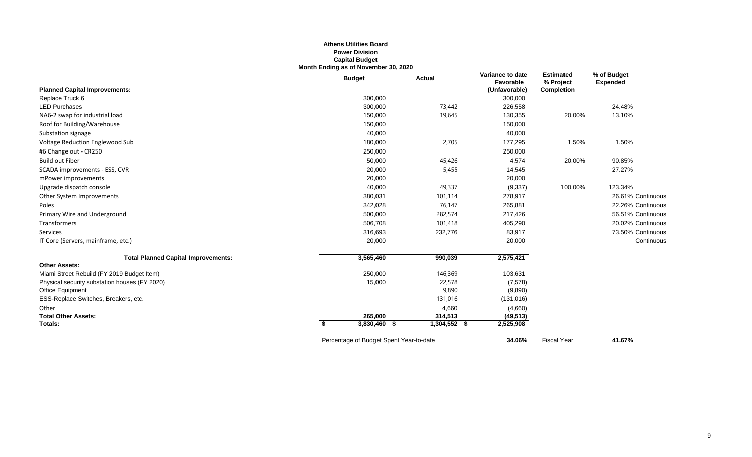### **Athens Utilities Board Power Division Capital Budget Month Ending as of November 30, 2020**

|                                               | <b>Budget</b> |                                         | <b>Actual</b> | Variance to date<br>Favorable | <b>Estimated</b><br>% Project | % of Budget<br><b>Expended</b> |
|-----------------------------------------------|---------------|-----------------------------------------|---------------|-------------------------------|-------------------------------|--------------------------------|
| <b>Planned Capital Improvements:</b>          |               |                                         |               | (Unfavorable)                 | <b>Completion</b>             |                                |
| Replace Truck 6                               |               | 300,000                                 |               | 300,000                       |                               |                                |
| <b>LED Purchases</b>                          |               | 300,000                                 | 73,442        | 226,558                       |                               | 24.48%                         |
| NA6-2 swap for industrial load                |               | 150,000                                 | 19,645        | 130,355                       | 20.00%                        | 13.10%                         |
| Roof for Building/Warehouse                   |               | 150,000                                 |               | 150,000                       |                               |                                |
| Substation signage                            |               | 40,000                                  |               | 40,000                        |                               |                                |
| Voltage Reduction Englewood Sub               |               | 180,000                                 | 2,705         | 177,295                       | 1.50%                         | 1.50%                          |
| #6 Change out - CR250                         |               | 250,000                                 |               | 250,000                       |                               |                                |
| <b>Build out Fiber</b>                        |               | 50,000                                  | 45,426        | 4,574                         | 20.00%                        | 90.85%                         |
| SCADA improvements - ESS, CVR                 |               | 20,000                                  | 5,455         | 14,545                        |                               | 27.27%                         |
| mPower improvements                           |               | 20,000                                  |               | 20,000                        |                               |                                |
| Upgrade dispatch console                      |               | 40,000                                  | 49,337        | (9,337)                       | 100.00%                       | 123.34%                        |
| Other System Improvements                     |               | 380,031                                 | 101,114       | 278,917                       |                               | 26.61% Continuous              |
| Poles                                         |               | 342,028                                 | 76,147        | 265,881                       |                               | 22.26% Continuous              |
| Primary Wire and Underground                  |               | 500,000                                 | 282,574       | 217,426                       |                               | 56.51% Continuous              |
| Transformers                                  |               | 506,708                                 | 101,418       | 405,290                       |                               | 20.02% Continuous              |
| Services                                      |               | 316,693                                 | 232,776       | 83,917                        |                               | 73.50% Continuous              |
| IT Core (Servers, mainframe, etc.)            |               | 20,000                                  |               | 20,000                        |                               | Continuous                     |
| <b>Total Planned Capital Improvements:</b>    |               | 3,565,460                               | 990,039       | 2,575,421                     |                               |                                |
| <b>Other Assets:</b>                          |               |                                         |               |                               |                               |                                |
| Miami Street Rebuild (FY 2019 Budget Item)    |               | 250,000                                 | 146,369       | 103,631                       |                               |                                |
| Physical security substation houses (FY 2020) |               | 15,000                                  | 22,578        | (7,578)                       |                               |                                |
| Office Equipment                              |               |                                         | 9,890         | (9,890)                       |                               |                                |
| ESS-Replace Switches, Breakers, etc.          |               |                                         | 131,016       | (131, 016)                    |                               |                                |
| Other                                         |               |                                         | 4,660         | (4,660)                       |                               |                                |
| <b>Total Other Assets:</b>                    |               | 265,000                                 | 314,513       | (49, 513)                     |                               |                                |
| Totals:                                       |               | 3,830,460 \$                            | 1,304,552 \$  | 2,525,908                     |                               |                                |
|                                               |               | Percentage of Budget Spent Year-to-date |               | 34.06%                        | <b>Fiscal Year</b>            | 41.67%                         |

9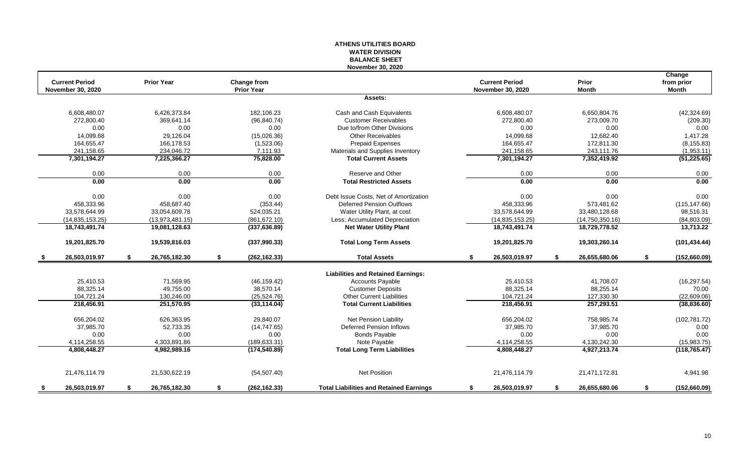#### **ATHENS UTILITIES BOARD WATER DIVISION BALANCE SHEET November 30, 2020**

|    |                          |    |                   |                     |                                                |                          |    |                 | Change             |
|----|--------------------------|----|-------------------|---------------------|------------------------------------------------|--------------------------|----|-----------------|--------------------|
|    | <b>Current Period</b>    |    | <b>Prior Year</b> | <b>Change from</b>  |                                                | <b>Current Period</b>    |    | Prior           | from prior         |
|    | <b>November 30, 2020</b> |    |                   | <b>Prior Year</b>   |                                                | <b>November 30, 2020</b> |    | <b>Month</b>    | <b>Month</b>       |
|    |                          |    |                   |                     | Assets:                                        |                          |    |                 |                    |
|    | 6,608,480.07             |    | 6,426,373.84      | 182.106.23          | Cash and Cash Equivalents                      | 6.608.480.07             |    | 6.650.804.76    | (42, 324.69)       |
|    | 272.800.40               |    | 369.641.14        | (96, 840.74)        | <b>Customer Receivables</b>                    | 272.800.40               |    | 273,009.70      | (209.30)           |
|    | 0.00                     |    | 0.00              | 0.00                | Due to/from Other Divisions                    | 0.00                     |    | 0.00            | 0.00               |
|    | 14.099.68                |    | 29.126.04         | (15,026.36)         | <b>Other Receivables</b>                       | 14.099.68                |    | 12.682.40       | 1,417.28           |
|    | 164,655.47               |    | 166,178.53        | (1,523.06)          | <b>Prepaid Expenses</b>                        | 164,655.47               |    | 172,811.30      | (8, 155.83)        |
|    | 241,158.65               |    | 234.046.72        | 7,111.93            | Materials and Supplies Inventory               | 241,158.65               |    | 243,111.76      | (1,953.11)         |
|    | 7,301,194.27             |    | 7,225,366.27      | 75,828.00           | <b>Total Current Assets</b>                    | 7,301,194.27             |    | 7,352,419.92    | (51, 225.65)       |
|    | 0.00                     |    | 0.00              | 0.00                | Reserve and Other                              | 0.00                     |    | 0.00            | 0.00               |
|    | 0.00                     |    | 0.00              | 0.00                | <b>Total Restricted Assets</b>                 | 0.00                     |    | 0.00            | 0.00               |
|    | 0.00                     |    | 0.00              | 0.00                | Debt Issue Costs, Net of Amortization          | 0.00                     |    | 0.00            | 0.00               |
|    | 458,333.96               |    | 458,687.40        | (353.44)            | <b>Deferred Pension Outflows</b>               | 458,333.96               |    | 573,481.62      | (115, 147.66)      |
|    | 33,578,644.99            |    | 33,054,609.78     | 524,035.21          | Water Utility Plant, at cost                   | 33,578,644.99            |    | 33,480,128.68   | 98,516.31          |
|    | (14, 835, 153.25)        |    | (13,973,481.15)   | (861, 672.10)       | Less: Accumulated Depreciation                 | (14, 835, 153.25)        |    | (14,750,350.16) | (84,803.09)        |
|    | 18,743,491.74            |    | 19,081,128.63     | (337, 636.89)       | <b>Net Water Utility Plant</b>                 | 18,743,491.74            |    | 18,729,778.52   | 13,713.22          |
|    | 19,201,825.70            |    | 19,539,816.03     | (337,990.33)        | <b>Total Long Term Assets</b>                  | 19,201,825.70            |    | 19,303,260.14   | (101, 434.44)      |
|    | 26,503,019.97            | \$ | 26,765,182.30     | \$<br>(262, 162.33) | <b>Total Assets</b>                            | \$<br>26,503,019.97      | S. | 26,655,680.06   | \$<br>(152,660.09) |
|    |                          |    |                   |                     | <b>Liabilities and Retained Earnings:</b>      |                          |    |                 |                    |
|    | 25,410.53                |    | 71,569.95         | (46, 159.42)        | <b>Accounts Payable</b>                        | 25,410.53                |    | 41,708.07       | (16, 297.54)       |
|    | 88,325.14                |    | 49,755.00         | 38,570.14           | <b>Customer Deposits</b>                       | 88,325.14                |    | 88,255.14       | 70.00              |
|    | 104,721.24               |    | 130,246.00        | (25, 524.76)        | <b>Other Current Liabilities</b>               | 104,721.24               |    | 127,330.30      | (22,609.06)        |
|    | 218,456.91               |    | 251,570.95        | (33, 114.04)        | <b>Total Current Liabilities</b>               | 218,456.91               |    | 257,293.51      | (38, 836.60)       |
|    | 656,204.02               |    | 626,363.95        | 29,840.07           | Net Pension Liability                          | 656,204.02               |    | 758,985.74      | (102, 781.72)      |
|    | 37,985.70                |    | 52,733.35         | (14, 747.65)        | <b>Deferred Pension Inflows</b>                | 37,985.70                |    | 37,985.70       | 0.00               |
|    | 0.00                     |    | 0.00              | 0.00                | <b>Bonds Payable</b>                           | 0.00                     |    | 0.00            | 0.00               |
|    | 4,114,258.55             |    | 4,303,891.86      | (189, 633.31)       | Note Payable                                   | 4,114,258.55             |    | 4,130,242.30    | (15,983.75)        |
|    | 4,808,448.27             |    | 4.982.989.16      | (174, 540.89)       | <b>Total Long Term Liabilities</b>             | 4,808,448.27             |    | 4,927,213.74    | (118, 765.47)      |
|    |                          |    |                   |                     |                                                |                          |    |                 |                    |
|    | 21,476,114.79            |    | 21,530,622.19     | (54, 507.40)        | <b>Net Position</b>                            | 21,476,114.79            |    | 21,471,172.81   | 4,941.98           |
| -S | 26,503,019.97            | -S | 26,765,182.30     | \$<br>(262, 162.33) | <b>Total Liabilities and Retained Earnings</b> | \$<br>26,503,019.97      | S. | 26,655,680.06   | \$<br>(152,660.09) |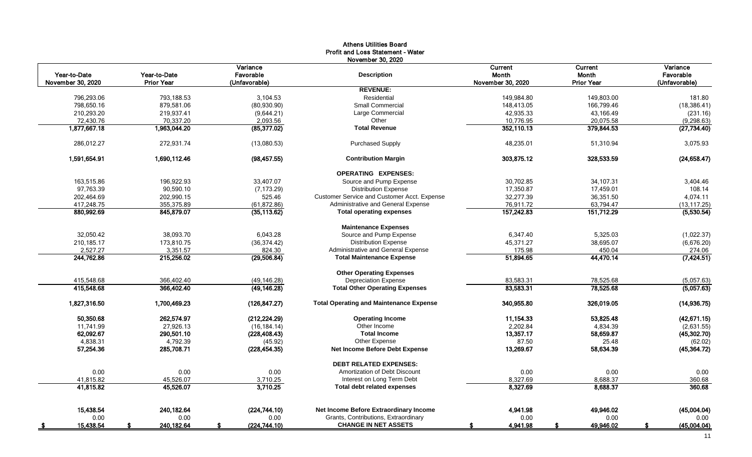|                                   |                                   |                                        | <b>Athens Utilities Board</b><br><b>Profit and Loss Statement - Water</b><br>November 30, 2020 |                                       |                                              |                                        |
|-----------------------------------|-----------------------------------|----------------------------------------|------------------------------------------------------------------------------------------------|---------------------------------------|----------------------------------------------|----------------------------------------|
| Year-to-Date<br>November 30, 2020 | Year-to-Date<br><b>Prior Year</b> | Variance<br>Favorable<br>(Unfavorable) | <b>Description</b>                                                                             | Current<br>Month<br>November 30, 2020 | <b>Current</b><br>Month<br><b>Prior Year</b> | Variance<br>Favorable<br>(Unfavorable) |
|                                   |                                   |                                        | <b>REVENUE:</b>                                                                                |                                       |                                              |                                        |
| 796,293.06                        | 793,188.53                        | 3,104.53                               | Residential                                                                                    | 149,984.80                            | 149,803.00                                   | 181.80                                 |
| 798,650.16                        | 879,581.06                        | (80,930.90)                            | Small Commercial                                                                               | 148,413.05                            | 166,799.46                                   | (18, 386.41)                           |
| 210,293.20                        | 219,937.41                        | (9,644.21)                             | Large Commercial                                                                               | 42,935.33                             | 43,166.49                                    | (231.16)                               |
| 72,430.76                         | 70,337.20                         | 2,093.56                               | Other                                                                                          | 10,776.95                             | 20,075.58                                    | (9, 298.63)                            |
| 1,877,667.18                      | 1,963,044.20                      | (85, 377.02)                           | <b>Total Revenue</b>                                                                           | 352,110.13                            | 379,844.53                                   | (27, 734.40)                           |
| 286,012.27                        | 272,931.74                        | (13,080.53)                            | <b>Purchased Supply</b>                                                                        | 48,235.01                             | 51,310.94                                    | 3,075.93                               |
| 1,591,654.91                      | 1,690,112.46                      | (98, 457.55)                           | <b>Contribution Margin</b>                                                                     | 303,875.12                            | 328,533.59                                   | (24, 658.47)                           |
|                                   |                                   |                                        | <b>OPERATING EXPENSES:</b>                                                                     |                                       |                                              |                                        |
| 163,515.86                        | 196,922.93                        | 33,407.07                              | Source and Pump Expense                                                                        | 30,702.85                             | 34,107.31                                    | 3,404.46                               |
| 97,763.39                         | 90,590.10                         | (7, 173.29)                            | <b>Distribution Expense</b>                                                                    | 17,350.87                             | 17,459.01                                    | 108.14                                 |
| 202,464.69                        | 202,990.15                        | 525.46                                 | Customer Service and Customer Acct. Expense                                                    | 32,277.39                             | 36,351.50                                    | 4,074.11                               |
| 417,248.75                        | 355,375.89                        | (61, 872.86)                           | Administrative and General Expense                                                             | 76,911.72                             | 63,794.47                                    | (13, 117.25)                           |
| 880,992.69                        | 845,879.07                        | (35, 113.62)                           | <b>Total operating expenses</b>                                                                | 157,242.83                            | 151,712.29                                   | (5,530.54)                             |
|                                   |                                   |                                        | <b>Maintenance Expenses</b>                                                                    |                                       |                                              |                                        |
| 32,050.42                         | 38,093.70                         | 6,043.28                               | Source and Pump Expense                                                                        | 6,347.40                              | 5,325.03                                     | (1,022.37)                             |
| 210,185.17                        | 173,810.75                        | (36, 374.42)                           | <b>Distribution Expense</b>                                                                    | 45,371.27                             | 38,695.07                                    | (6,676.20)                             |
| 2,527.27                          | 3,351.57                          | 824.30                                 | Administrative and General Expense                                                             | 175.98                                | 450.04                                       | 274.06                                 |
| 244,762.86                        | 215,256.02                        | (29, 506.84)                           | <b>Total Maintenance Expense</b>                                                               | 51,894.65                             | 44,470.14                                    | (7, 424.51)                            |
|                                   |                                   |                                        | <b>Other Operating Expenses</b>                                                                |                                       |                                              |                                        |
| 415,548.68                        | 366,402.40                        | (49, 146.28)                           | <b>Depreciation Expense</b>                                                                    | 83,583.31                             | 78,525.68                                    | (5,057.63)                             |
| 415,548.68                        | 366,402.40                        | (49, 146.28)                           | <b>Total Other Operating Expenses</b>                                                          | 83,583.31                             | 78,525.68                                    | (5,057.63)                             |
| 1,827,316.50                      | 1,700,469.23                      | (126, 847.27)                          | <b>Total Operating and Maintenance Expense</b>                                                 | 340,955.80                            | 326,019.05                                   | (14, 936.75)                           |
| 50,350.68                         | 262,574.97                        | (212, 224.29)                          | <b>Operating Income</b>                                                                        | 11,154.33                             | 53,825.48                                    | (42, 671.15)                           |
| 11,741.99                         | 27,926.13                         | (16, 184.14)                           | Other Income                                                                                   | 2,202.84                              | 4,834.39                                     | (2,631.55)                             |
| 62,092.67                         | 290,501.10                        | (228, 408.43)                          | <b>Total Income</b>                                                                            | 13,357.17                             | 58,659.87                                    | (45, 302.70)                           |
| 4,838.31                          | 4,792.39                          | (45.92)                                | Other Expense                                                                                  | 87.50                                 | 25.48                                        | (62.02)                                |
| 57,254.36                         | 285,708.71                        | (228, 454.35)                          | Net Income Before Debt Expense                                                                 | 13,269.67                             | 58,634.39                                    | (45, 364.72)                           |
|                                   |                                   |                                        | <b>DEBT RELATED EXPENSES:</b>                                                                  |                                       |                                              |                                        |
| 0.00                              | 0.00                              | 0.00                                   | Amortization of Debt Discount                                                                  | 0.00                                  | 0.00                                         | 0.00                                   |
| 41,815.82                         | 45,526.07                         | 3,710.25                               | Interest on Long Term Debt                                                                     | 8,327.69                              | 8,688.37                                     | 360.68                                 |
| 41,815.82                         | 45,526.07                         | 3,710.25                               | Total debt related expenses                                                                    | 8,327.69                              | 8,688.37                                     | 360.68                                 |
| 15,438.54                         | 240,182.64                        | (224,744.10)                           | Net Income Before Extraordinary Income                                                         | 4,941.98                              | 49,946.02                                    | (45,004.04)                            |
| 0.00                              | 0.00                              | 0.00                                   | Grants, Contributions, Extraordinary                                                           | 0.00                                  | 0.00                                         | 0.00                                   |
| 15,438.54                         | 240,182.64                        | (224, 744.10)                          | <b>CHANGE IN NET ASSETS</b>                                                                    | 4,941.98                              | 49,946.02                                    | (45,004.04)                            |
|                                   |                                   |                                        |                                                                                                |                                       |                                              |                                        |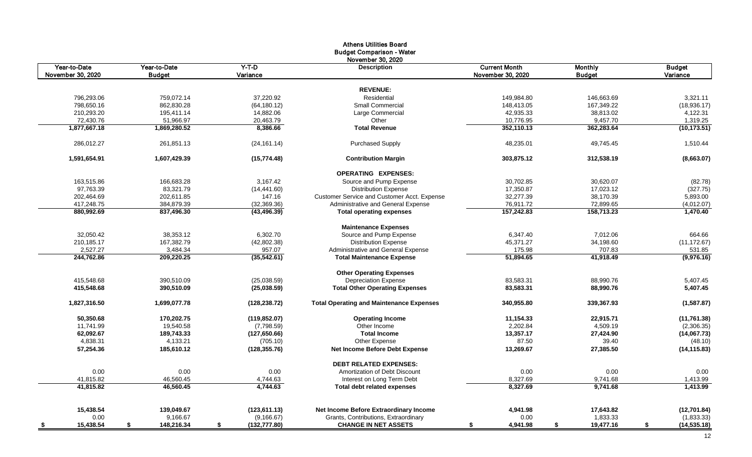|                   |                  |                     | <b>Athens Utilities Board</b>                   |                      |                |                    |
|-------------------|------------------|---------------------|-------------------------------------------------|----------------------|----------------|--------------------|
|                   |                  |                     | <b>Budget Comparison - Water</b>                |                      |                |                    |
|                   |                  |                     | November 30, 2020                               |                      |                |                    |
| Year-to-Date      | Year-to-Date     | $Y-T-D$             | <b>Description</b>                              | <b>Current Month</b> | <b>Monthly</b> | <b>Budget</b>      |
| November 30, 2020 | <b>Budget</b>    | Variance            |                                                 | November 30, 2020    | <b>Budget</b>  | Variance           |
|                   |                  |                     |                                                 |                      |                |                    |
|                   |                  |                     | <b>REVENUE:</b>                                 |                      |                |                    |
| 796,293.06        | 759.072.14       | 37,220.92           | Residential                                     | 149,984.80           | 146.663.69     | 3,321.11           |
| 798,650.16        | 862,830.28       | (64, 180.12)        | <b>Small Commercial</b>                         | 148.413.05           | 167,349.22     | (18,936.17)        |
| 210,293.20        | 195,411.14       | 14,882.06           | Large Commercial                                | 42,935.33            | 38,813.02      | 4,122.31           |
| 72,430.76         | 51,966.97        | 20,463.79           | Other                                           | 10,776.95            | 9,457.70       | 1,319.25           |
| 1,877,667.18      | 1,869,280.52     | 8,386.66            | <b>Total Revenue</b>                            | 352,110.13           | 362,283.64     | (10, 173.51)       |
| 286.012.27        | 261.851.13       | (24, 161.14)        | <b>Purchased Supply</b>                         | 48,235.01            | 49.745.45      | 1,510.44           |
| 1,591,654.91      | 1,607,429.39     | (15, 774.48)        | <b>Contribution Margin</b>                      | 303,875.12           | 312,538.19     | (8,663.07)         |
|                   |                  |                     | <b>OPERATING EXPENSES:</b>                      |                      |                |                    |
| 163,515.86        | 166,683.28       | 3,167.42            | Source and Pump Expense                         | 30,702.85            | 30,620.07      | (82.78)            |
| 97,763.39         | 83,321.79        | (14, 441.60)        | <b>Distribution Expense</b>                     | 17,350.87            | 17,023.12      | (327.75)           |
| 202,464.69        | 202,611.85       | 147.16              | Customer Service and Customer Acct. Expense     | 32,277.39            | 38,170.39      | 5,893.00           |
|                   |                  |                     |                                                 |                      | 72,899.65      |                    |
| 417,248.75        | 384,879.39       | (32, 369.36)        | Administrative and General Expense              | 76,911.72            |                | (4,012.07)         |
| 880,992.69        | 837,496.30       | (43, 496.39)        | <b>Total operating expenses</b>                 | 157,242.83           | 158,713.23     | 1,470.40           |
|                   |                  |                     | <b>Maintenance Expenses</b>                     |                      |                |                    |
| 32,050.42         | 38,353.12        | 6,302.70            | Source and Pump Expense                         | 6,347.40             | 7,012.06       | 664.66             |
| 210,185.17        | 167,382.79       | (42,802.38)         | <b>Distribution Expense</b>                     | 45,371.27            | 34,198.60      | (11, 172.67)       |
| 2,527.27          | 3,484.34         | 957.07              | Administrative and General Expense              | 175.98               | 707.83         | 531.85             |
| 244,762.86        | 209,220.25       | (35,542.61)         | <b>Total Maintenance Expense</b>                | 51,894.65            | 41,918.49      | (9,976.16)         |
|                   |                  |                     | <b>Other Operating Expenses</b>                 |                      |                |                    |
| 415,548.68        | 390.510.09       | (25.038.59)         | <b>Depreciation Expense</b>                     | 83,583.31            | 88,990.76      | 5,407.45           |
| 415,548.68        | 390,510.09       | (25,038.59)         | <b>Total Other Operating Expenses</b>           | 83,583.31            | 88,990.76      | 5,407.45           |
| 1,827,316.50      | 1,699,077.78     | (128, 238.72)       | <b>Total Operating and Maintenance Expenses</b> | 340,955.80           | 339,367.93     | (1,587.87)         |
| 50,350.68         | 170,202.75       | (119, 852.07)       | <b>Operating Income</b>                         | 11,154.33            | 22,915.71      | (11, 761.38)       |
| 11,741.99         | 19,540.58        | (7,798.59)          | Other Income                                    | 2,202.84             | 4,509.19       | (2,306.35)         |
| 62,092.67         | 189,743.33       | (127, 650.66)       | <b>Total Income</b>                             | 13,357.17            | 27,424.90      | (14,067.73)        |
| 4,838.31          | 4,133.21         | (705.10)            | Other Expense                                   | 87.50                | 39.40          | (48.10)            |
| 57,254.36         | 185,610.12       | (128, 355.76)       | <b>Net Income Before Debt Expense</b>           | 13,269.67            | 27,385.50      | (14, 115.83)       |
|                   |                  |                     |                                                 |                      |                |                    |
|                   |                  |                     | <b>DEBT RELATED EXPENSES:</b>                   |                      |                |                    |
| 0.00              | 0.00             | 0.00                | Amortization of Debt Discount                   | 0.00                 | 0.00           | 0.00               |
| 41,815.82         | 46,560.45        | 4,744.63            | Interest on Long Term Debt                      | 8,327.69             | 9,741.68       | 1,413.99           |
| 41,815.82         | 46,560.45        | 4.744.63            | <b>Total debt related expenses</b>              | 8,327.69             | 9,741.68       | 1,413.99           |
| 15,438.54         | 139,049.67       | (123, 611.13)       | Net Income Before Extraordinary Income          | 4,941.98             | 17,643.82      | (12,701.84)        |
| 0.00              | 9,166.67         | (9, 166.67)         | Grants, Contributions, Extraordinary            | 0.00                 | 1,833.33       | (1,833.33)         |
|                   |                  |                     |                                                 |                      | 19,477.16      |                    |
| 15,438.54<br>- \$ | \$<br>148,216.34 | \$<br>(132, 777.80) | <b>CHANGE IN NET ASSETS</b>                     | 4,941.98<br>\$       | \$             | \$<br>(14, 535.18) |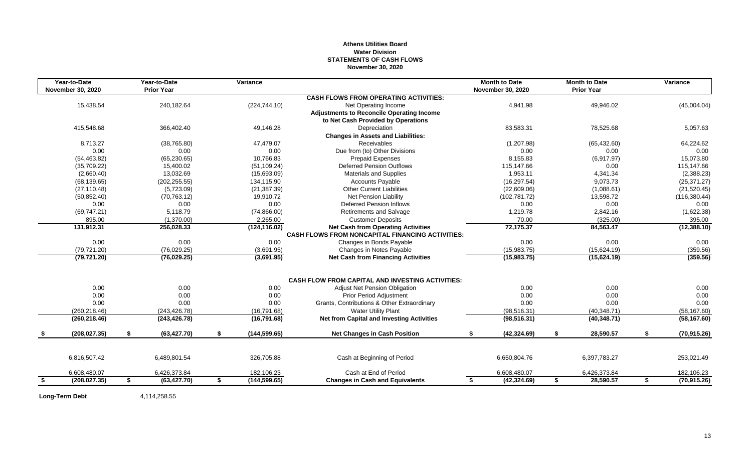# **Athens Utilities Board Water Division STATEMENTS OF CASH FLOWS November 30, 2020**

|      | Year-to-Date             | Year-to-Date       | <b>Variance</b>     |                                                         | <b>Month to Date</b> | <b>Month to Date</b> |    | Variance      |
|------|--------------------------|--------------------|---------------------|---------------------------------------------------------|----------------------|----------------------|----|---------------|
|      | <b>November 30, 2020</b> | <b>Prior Year</b>  |                     |                                                         | November 30, 2020    | <b>Prior Year</b>    |    |               |
|      |                          |                    |                     | <b>CASH FLOWS FROM OPERATING ACTIVITIES:</b>            |                      |                      |    |               |
|      | 15,438.54                | 240,182.64         | (224, 744.10)       | Net Operating Income                                    | 4,941.98             | 49,946.02            |    | (45,004.04)   |
|      |                          |                    |                     | <b>Adjustments to Reconcile Operating Income</b>        |                      |                      |    |               |
|      |                          |                    |                     | to Net Cash Provided by Operations                      |                      |                      |    |               |
|      | 415,548.68               | 366,402.40         | 49,146.28           | Depreciation                                            | 83,583.31            | 78,525.68            |    | 5,057.63      |
|      |                          |                    |                     | <b>Changes in Assets and Liabilities:</b>               |                      |                      |    |               |
|      | 8,713.27                 | (38,765.80)        | 47,479.07           | Receivables                                             | (1,207.98)           | (65, 432.60)         |    | 64,224.62     |
|      | 0.00                     | 0.00               | 0.00                | Due from (to) Other Divisions                           | 0.00                 | 0.00                 |    | 0.00          |
|      | (54, 463.82)             | (65, 230.65)       | 10,766.83           | <b>Prepaid Expenses</b>                                 | 8,155.83             | (6,917.97)           |    | 15,073.80     |
|      | (35,709.22)              | 15,400.02          | (51, 109.24)        | <b>Deferred Pension Outflows</b>                        | 115,147.66           | 0.00                 |    | 115,147.66    |
|      | (2,660.40)               | 13,032.69          | (15,693.09)         | <b>Materials and Supplies</b>                           | 1,953.11             | 4,341.34             |    | (2,388.23)    |
|      | (68, 139.65)             | (202, 255.55)      | 134,115.90          | <b>Accounts Payable</b>                                 | (16, 297.54)         | 9,073.73             |    | (25, 371.27)  |
|      | (27, 110.48)             | (5,723.09)         | (21, 387.39)        | <b>Other Current Liabilities</b>                        | (22,609.06)          | (1,088.61)           |    | (21, 520.45)  |
|      | (50, 852.40)             | (70, 763.12)       | 19,910.72           | <b>Net Pension Liability</b>                            | (102, 781.72)        | 13,598.72            |    | (116, 380.44) |
|      | 0.00                     | 0.00               | 0.00                | <b>Deferred Pension Inflows</b>                         | 0.00                 | 0.00                 |    | 0.00          |
|      | (69, 747.21)             | 5.118.79           | (74,866.00)         | <b>Retirements and Salvage</b>                          | 1,219.78             | 2,842.16             |    | (1,622.38)    |
|      | 895.00                   | (1,370.00)         | 2,265.00            | <b>Customer Deposits</b>                                | 70.00                | (325.00)             |    | 395.00        |
|      | 131,912.31               | 256,028.33         | (124, 116.02)       | <b>Net Cash from Operating Activities</b>               | 72,175.37            | 84,563.47            |    | (12, 388.10)  |
|      |                          |                    |                     | <b>CASH FLOWS FROM NONCAPITAL FINANCING ACTIVITIES:</b> |                      |                      |    |               |
|      | 0.00                     | 0.00               | 0.00                | Changes in Bonds Payable                                | 0.00                 | 0.00                 |    | 0.00          |
|      | (79, 721.20)             | (76,029.25)        | (3,691.95)          | Changes in Notes Payable                                | (15,983.75)          | (15,624.19)          |    | (359.56)      |
|      | (79, 721.20)             | (76,029.25)        | (3,691.95)          | <b>Net Cash from Financing Activities</b>               | (15,983.75)          | (15,624.19)          |    | (359.56)      |
|      |                          |                    |                     | <b>CASH FLOW FROM CAPITAL AND INVESTING ACTIVITIES:</b> |                      |                      |    |               |
|      | 0.00                     | 0.00               | 0.00                | Adjust Net Pension Obligation                           | 0.00                 | 0.00                 |    | 0.00          |
|      | 0.00                     | 0.00               | 0.00                | Prior Period Adjustment                                 | 0.00                 | 0.00                 |    | 0.00          |
|      | 0.00                     | 0.00               | 0.00                | Grants, Contributions & Other Extraordinary             | 0.00                 | 0.00                 |    | 0.00          |
|      | (260, 218.46)            | (243.426.78)       | (16,791.68)         | <b>Water Utility Plant</b>                              | (98, 516.31)         | (40, 348.71)         |    | (58, 167.60)  |
|      | (260, 218.46)            | (243, 426.78)      | (16,791.68)         | <b>Net from Capital and Investing Activities</b>        | (98, 516.31)         | (40, 348.71)         |    | (58, 167.60)  |
|      | (208, 027, 35)           | \$<br>(63, 427.70) | \$<br>(144, 599.65) | <b>Net Changes in Cash Position</b>                     | \$<br>(42, 324.69)   | \$<br>28,590.57      | S. | (70, 915.26)  |
|      |                          |                    |                     |                                                         |                      |                      |    |               |
|      | 6,816,507.42             | 6,489,801.54       | 326,705.88          | Cash at Beginning of Period                             | 6,650,804.76         | 6,397,783.27         |    | 253,021.49    |
|      | 6,608,480.07             | 6,426,373.84       | 182,106.23          | Cash at End of Period                                   | 6,608,480.07         | 6,426,373.84         |    | 182,106.23    |
| - \$ | (208, 027, 35)           | \$<br>(63, 427.70) | \$<br>(144, 599.65) | <b>Changes in Cash and Equivalents</b>                  | \$<br>(42, 324.69)   | \$<br>28,590.57      | \$ | (70, 915.26)  |

**Long-Term Debt** 4,114,258.55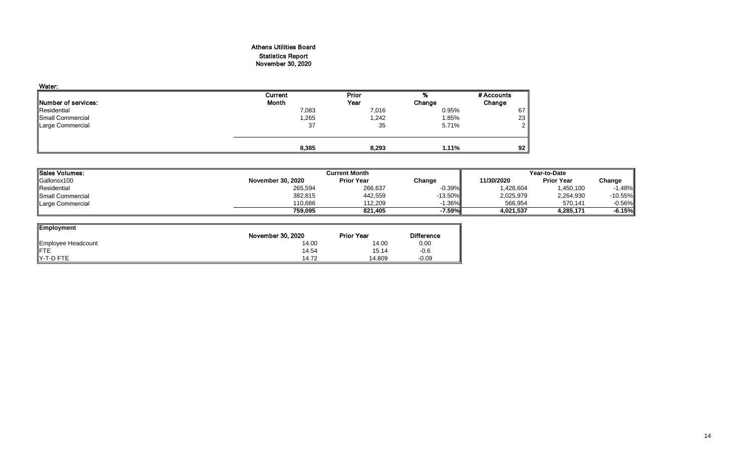# Athens Utilities Board Statistics Report November 30, 2020

| Water:                      |         |       |        |               |
|-----------------------------|---------|-------|--------|---------------|
|                             | Current | Prior | %      | # Accounts    |
| <b>INumber of services:</b> | Month   | Year  | Change | Change        |
| Residential                 | 7,083   | 7,016 | 0.95%  | 67            |
| Small Commercial            | 1,265   | 1,242 | 1.85%  | 23            |
| Large Commercial            | 37      | 35    | 5.71%  | $\mathcal{D}$ |
|                             | 8,385   | 8,293 | 1.11%  | 92            |

| Sales Volumes:   |                          | <b>Current Month</b> |           |            |                   | Year-to-Date |  |  |
|------------------|--------------------------|----------------------|-----------|------------|-------------------|--------------|--|--|
| Gallonsx100      | <b>November 30, 2020</b> | <b>Prior Year</b>    | Change    | 11/30/2020 | <b>Prior Year</b> | Change       |  |  |
| Residential      | 265,594                  | 266,637              | $-0.39%$  | 1,428,604  | ,450,100          | $-1.48%$     |  |  |
| Small Commercial | 382,815                  | 442,559              | $-13.50%$ | 2,025,979  | 2,264,930         | $-10.55%$    |  |  |
| Large Commercial | 110.686                  | 112.209              | 1.36%     | 566,954    | 570,141           | $-0.56%$     |  |  |
|                  | 759.095                  | 821.405              | -7.59%    | 4,021,537  | 4.285.171         | $-6.15%$     |  |  |

| <b>Employment</b>  |                   |                   |                   |
|--------------------|-------------------|-------------------|-------------------|
|                    | November 30, 2020 | <b>Prior Year</b> | <b>Difference</b> |
| Employee Headcount | 14.00             | 14.00             | 0.00              |
| <b>IFTE</b>        | 14.54             | 15.14             | $-0.6$            |
| <b>IY-T-D FTE</b>  | 14.72             | 14.809            | $-0.09$           |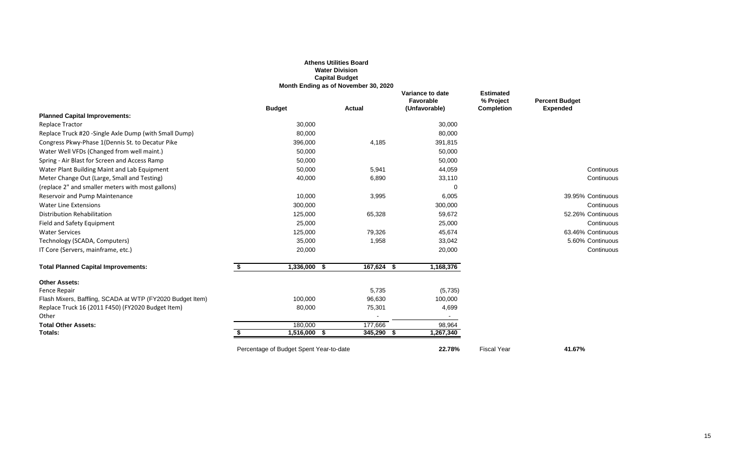|                                                            |                                         | <b>Athens Utilities Board</b><br><b>Water Division</b><br><b>Capital Budget</b><br>Month Ending as of November 30, 2020 |                                                |                                                    |                                          |
|------------------------------------------------------------|-----------------------------------------|-------------------------------------------------------------------------------------------------------------------------|------------------------------------------------|----------------------------------------------------|------------------------------------------|
|                                                            | <b>Budget</b>                           | <b>Actual</b>                                                                                                           | Variance to date<br>Favorable<br>(Unfavorable) | <b>Estimated</b><br>% Project<br><b>Completion</b> | <b>Percent Budget</b><br><b>Expended</b> |
| <b>Planned Capital Improvements:</b>                       |                                         |                                                                                                                         |                                                |                                                    |                                          |
| <b>Replace Tractor</b>                                     | 30,000                                  |                                                                                                                         | 30,000                                         |                                                    |                                          |
| Replace Truck #20 - Single Axle Dump (with Small Dump)     | 80,000                                  |                                                                                                                         | 80,000                                         |                                                    |                                          |
| Congress Pkwy-Phase 1 (Dennis St. to Decatur Pike          | 396,000                                 | 4,185                                                                                                                   | 391,815                                        |                                                    |                                          |
| Water Well VFDs (Changed from well maint.)                 | 50,000                                  |                                                                                                                         | 50,000                                         |                                                    |                                          |
| Spring - Air Blast for Screen and Access Ramp              | 50,000                                  |                                                                                                                         | 50,000                                         |                                                    |                                          |
| Water Plant Building Maint and Lab Equipment               | 50,000                                  | 5,941                                                                                                                   | 44,059                                         |                                                    | Continuous                               |
| Meter Change Out (Large, Small and Testing)                | 40,000                                  | 6,890                                                                                                                   | 33,110                                         |                                                    | Continuous                               |
| (replace 2" and smaller meters with most gallons)          |                                         |                                                                                                                         |                                                |                                                    |                                          |
| Reservoir and Pump Maintenance                             | 10,000                                  | 3,995                                                                                                                   | 6,005                                          |                                                    | 39.95% Continuous                        |
| Water Line Extensions                                      | 300,000                                 |                                                                                                                         | 300,000                                        |                                                    | Continuous                               |
| Distribution Rehabilitation                                | 125,000                                 | 65,328                                                                                                                  | 59,672                                         |                                                    | 52.26% Continuous                        |
| Field and Safety Equipment                                 | 25,000                                  |                                                                                                                         | 25,000                                         |                                                    | Continuous                               |
| <b>Water Services</b>                                      | 125,000                                 | 79,326                                                                                                                  | 45,674                                         |                                                    | 63.46% Continuous                        |
| Technology (SCADA, Computers)                              | 35,000                                  | 1,958                                                                                                                   | 33,042                                         |                                                    | 5.60% Continuous                         |
| IT Core (Servers, mainframe, etc.)                         | 20,000                                  |                                                                                                                         | 20,000                                         |                                                    | Continuous                               |
| <b>Total Planned Capital Improvements:</b>                 | \$<br>1,336,000 \$                      | 167,624 \$                                                                                                              | 1,168,376                                      |                                                    |                                          |
| <b>Other Assets:</b>                                       |                                         |                                                                                                                         |                                                |                                                    |                                          |
| Fence Repair                                               |                                         | 5,735                                                                                                                   | (5,735)                                        |                                                    |                                          |
| Flash Mixers, Baffling, SCADA at WTP (FY2020 Budget Item)  | 100,000                                 | 96,630                                                                                                                  | 100,000                                        |                                                    |                                          |
| Replace Truck 16 (2011 F450) (FY2020 Budget Item)<br>Other | 80,000                                  | 75,301                                                                                                                  | 4,699<br>$\sim$                                |                                                    |                                          |
| <b>Total Other Assets:</b>                                 | 180,000                                 | 177,666                                                                                                                 | 98,964                                         |                                                    |                                          |
| Totals:                                                    | 1,516,000 \$<br>S                       | 345,290<br>- \$                                                                                                         | 1,267,340                                      |                                                    |                                          |
|                                                            | Percentage of Budget Spent Year-to-date |                                                                                                                         | 22.78%                                         | <b>Fiscal Year</b>                                 | 41.67%                                   |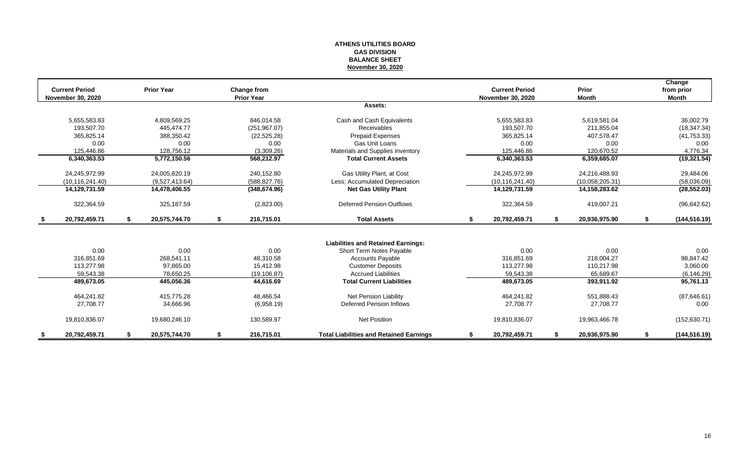#### **ATHENS UTILITIES BOARD GAS DIVISION BALANCE SHEET November 30, 2020**

|               | <b>Current Period</b><br><b>November 30, 2020</b> |    | <b>Prior Year</b> |    | Change from<br><b>Prior Year</b> |                                                |    | <b>Current Period</b><br><b>November 30, 2020</b> |    | Prior<br><b>Month</b> |    | Change<br>from prior<br><b>Month</b> |
|---------------|---------------------------------------------------|----|-------------------|----|----------------------------------|------------------------------------------------|----|---------------------------------------------------|----|-----------------------|----|--------------------------------------|
|               |                                                   |    |                   |    |                                  | Assets:                                        |    |                                                   |    |                       |    |                                      |
|               | 5,655,583.83                                      |    | 4,809,569.25      |    | 846,014.58                       | Cash and Cash Equivalents                      |    | 5,655,583.83                                      |    | 5,619,581.04          |    | 36,002.79                            |
|               | 193.507.70                                        |    | 445.474.77        |    | (251, 967.07)                    | <b>Receivables</b>                             |    | 193.507.70                                        |    | 211,855.04            |    | (18, 347.34)                         |
|               | 365,825.14                                        |    | 388,350.42        |    | (22, 525.28)                     | <b>Prepaid Expenses</b>                        |    | 365,825.14                                        |    | 407,578.47            |    | (41, 753.33)                         |
|               | 0.00                                              |    | 0.00              |    | 0.00                             | Gas Unit Loans                                 |    | 0.00                                              |    | 0.00                  |    | 0.00                                 |
|               | 125,446.86                                        |    | 128,756.12        |    | (3,309.26)                       | Materials and Supplies Inventory               |    | 125,446.86                                        |    | 120,670.52            |    | 4,776.34                             |
|               | 6,340,363.53                                      |    | 5,772,150.56      |    | 568,212.97                       | <b>Total Current Assets</b>                    |    | 6,340,363.53                                      |    | 6,359,685.07          |    | (19, 321.54)                         |
|               | 24,245,972.99                                     |    | 24,005,820.19     |    | 240,152.80                       | Gas Utility Plant, at Cost                     |    | 24,245,972.99                                     |    | 24,216,488.93         |    | 29,484.06                            |
|               | (10, 116, 241.40)                                 |    | (9.527.413.64)    |    | (588.827.76)                     | Less: Accumulated Depreciation                 |    | (10, 116, 241.40)                                 |    | (10,058,205.31)       |    | (58,036.09)                          |
|               | 14,129,731.59                                     |    | 14,478,406.55     |    | (348, 674.96)                    | <b>Net Gas Utility Plant</b>                   |    | 14,129,731.59                                     |    | 14, 158, 283. 62      |    | (28, 552.03)                         |
|               | 322,364.59                                        |    | 325,187.59        |    | (2,823.00)                       | <b>Deferred Pension Outflows</b>               |    | 322,364.59                                        |    | 419,007.21            |    | (96, 642.62)                         |
| \$            | 20,792,459.71                                     | S. | 20,575,744.70     | \$ | 216,715.01                       | <b>Total Assets</b>                            | \$ | 20,792,459.71                                     | S. | 20,936,975.90         | s. | (144, 516.19)                        |
|               |                                                   |    |                   |    |                                  |                                                |    |                                                   |    |                       |    |                                      |
|               |                                                   |    |                   |    |                                  | <b>Liabilities and Retained Earnings:</b>      |    |                                                   |    |                       |    |                                      |
|               | 0.00                                              |    | 0.00              |    | 0.00                             | Short Term Notes Payable                       |    | 0.00                                              |    | 0.00                  |    | 0.00                                 |
|               | 316,851.69                                        |    | 268,541.11        |    | 48,310.58                        | <b>Accounts Payable</b>                        |    | 316,851.69                                        |    | 218,004.27            |    | 98,847.42                            |
|               | 113.277.98                                        |    | 97.865.00         |    | 15.412.98                        | <b>Customer Deposits</b>                       |    | 113,277.98                                        |    | 110,217.98            |    | 3,060.00                             |
|               | 59,543.38                                         |    | 78,650.25         |    | (19, 106.87)                     | <b>Accrued Liabilities</b>                     |    | 59,543.38                                         |    | 65,689.67             |    | (6, 146.29)                          |
|               | 489,673.05                                        |    | 445,056.36        |    | 44,616.69                        | <b>Total Current Liabilities</b>               |    | 489,673.05                                        |    | 393,911.92            |    | 95,761.13                            |
|               | 464,241.82                                        |    | 415,775.28        |    | 48,466.54                        | <b>Net Pension Liability</b>                   |    | 464,241.82                                        |    | 551,888.43            |    | (87, 646.61)                         |
|               | 27,708.77                                         |    | 34,666.96         |    | (6,958.19)                       | Deferred Pension Inflows                       |    | 27,708.77                                         |    | 27,708.77             |    | 0.00                                 |
|               | 19,810,836.07                                     |    | 19,680,246.10     |    | 130,589.97                       | <b>Net Position</b>                            |    | 19,810,836.07                                     |    | 19,963,466.78         |    | (152, 630.71)                        |
| $\frac{1}{2}$ | 20,792,459.71                                     |    | 20,575,744.70     | S  | 216,715.01                       | <b>Total Liabilities and Retained Earnings</b> | S  | 20,792,459.71                                     |    | 20,936,975.90         |    | (144, 516.19)                        |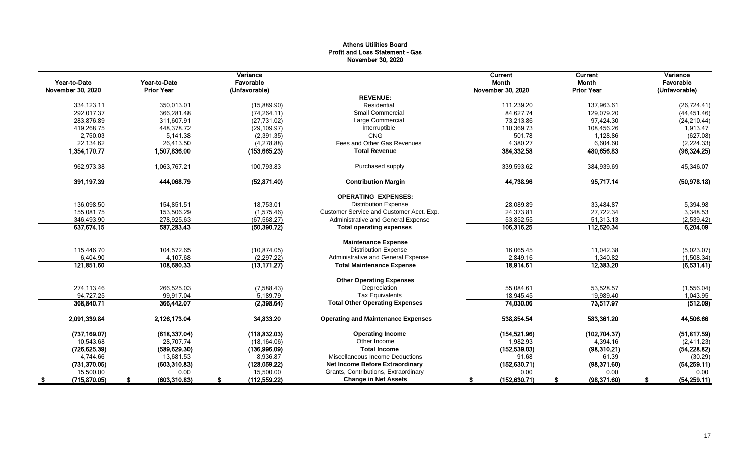# Athens Utilities Board Profit and Loss Statement - Gas November 30, 2020

|                   |                   | Variance      |                                           | Current           | Current           | Variance      |
|-------------------|-------------------|---------------|-------------------------------------------|-------------------|-------------------|---------------|
| Year-to-Date      | Year-to-Date      | Favorable     |                                           | Month             | Month             | Favorable     |
| November 30, 2020 | <b>Prior Year</b> | (Unfavorable) |                                           | November 30, 2020 | <b>Prior Year</b> | (Unfavorable) |
|                   |                   |               | <b>REVENUE:</b>                           |                   |                   |               |
| 334,123.11        | 350,013.01        | (15,889.90)   | Residential                               | 111,239.20        | 137,963.61        | (26, 724.41)  |
| 292.017.37        | 366.281.48        | (74, 264.11)  | <b>Small Commercial</b>                   | 84,627.74         | 129,079.20        | (44, 451.46)  |
| 283,876.89        | 311,607.91        | (27, 731.02)  | Large Commercial                          | 73,213.86         | 97,424.30         | (24, 210.44)  |
| 419.268.75        | 448,378.72        | (29, 109.97)  | Interruptible                             | 110,369.73        | 108.456.26        | 1,913.47      |
| 2,750.03          | 5,141.38          | (2,391.35)    | <b>CNG</b>                                | 501.78            | 1,128.86          | (627.08)      |
| 22,134.62         | 26,413.50         | (4, 278.88)   | Fees and Other Gas Revenues               | 4,380.27          | 6,604.60          | (2, 224.33)   |
| 1,354,170.77      | 1,507,836.00      | (153, 665.23) | <b>Total Revenue</b>                      | 384,332.58        | 480,656.83        | (96, 324.25)  |
| 962,973.38        | 1,063,767.21      | 100,793.83    | Purchased supply                          | 339,593.62        | 384,939.69        | 45,346.07     |
| 391,197.39        | 444,068.79        | (52, 871.40)  | <b>Contribution Margin</b>                | 44,738.96         | 95,717.14         | (50, 978.18)  |
|                   |                   |               | <b>OPERATING EXPENSES:</b>                |                   |                   |               |
| 136,098.50        | 154,851.51        | 18,753.01     | <b>Distribution Expense</b>               | 28,089.89         | 33,484.87         | 5,394.98      |
| 155,081.75        | 153,506.29        | (1,575.46)    | Customer Service and Customer Acct. Exp.  | 24,373.81         | 27,722.34         | 3,348.53      |
| 346,493.90        | 278,925.63        | (67, 568.27)  | Administrative and General Expense        | 53,852.55         | 51,313.13         | (2,539.42)    |
| 637,674.15        | 587,283.43        | (50, 390.72)  | <b>Total operating expenses</b>           | 106,316.25        | 112,520.34        | 6,204.09      |
|                   |                   |               | <b>Maintenance Expense</b>                |                   |                   |               |
| 115,446.70        | 104,572.65        | (10, 874.05)  | <b>Distribution Expense</b>               | 16,065.45         | 11,042.38         | (5,023.07)    |
| 6,404.90          | 4,107.68          | (2, 297.22)   | Administrative and General Expense        | 2,849.16          | 1,340.82          | (1,508.34)    |
| 121,851.60        | 108,680.33        | (13, 171.27)  | <b>Total Maintenance Expense</b>          | 18,914.61         | 12,383.20         | (6,531.41)    |
|                   |                   |               | <b>Other Operating Expenses</b>           |                   |                   |               |
| 274,113.46        | 266,525.03        | (7,588.43)    | Depreciation                              | 55,084.61         | 53,528.57         | (1,556.04)    |
| 94.727.25         | 99.917.04         | 5.189.79      | <b>Tax Equivalents</b>                    | 18.945.45         | 19,989.40         | 1,043.95      |
| 368,840.71        | 366,442.07        | (2,398.64)    | <b>Total Other Operating Expenses</b>     | 74,030.06         | 73,517.97         | (512.09)      |
| 2,091,339.84      | 2,126,173.04      | 34,833.20     | <b>Operating and Maintenance Expenses</b> | 538,854.54        | 583,361.20        | 44,506.66     |
| (737, 169.07)     | (618, 337.04)     | (118, 832.03) | <b>Operating Income</b>                   | (154, 521.96)     | (102, 704.37)     | (51, 817.59)  |
| 10,543.68         | 28,707.74         | (18, 164.06)  | Other Income                              | 1,982.93          | 4,394.16          | (2,411.23)    |
| (726, 625.39)     | (589, 629.30)     | (136,996.09)  | <b>Total Income</b>                       | (152, 539.03)     | (98, 310.21)      | (54, 228.82)  |
| 4,744.66          | 13,681.53         | 8,936.87      | Miscellaneous Income Deductions           | 91.68             | 61.39             | (30.29)       |
| (731, 370.05)     | (603, 310.83)     | (128,059.22)  | <b>Net Income Before Extraordinary</b>    | (152, 630.71)     | (98, 371.60)      | (54, 259.11)  |
| 15,500.00         | 0.00              | 15,500.00     | Grants, Contributions, Extraordinary      | 0.00              | 0.00              | 0.00          |
| (715, 870.05)     | (603, 310.83)     | (112, 559.22) | <b>Change in Net Assets</b>               | (152, 630.71)     | (98, 371.60)      | (54, 259.11)  |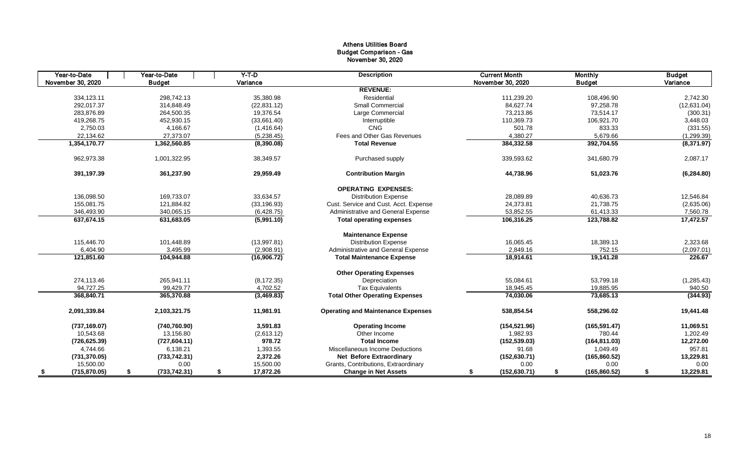# Athens Utilities Board Budget Comparison - Gas November 30, 2020

| Year-to-Date         | Year-to-Date        | $Y-T$ -D        | <b>Description</b>                        | <b>Current Month</b> | <b>Monthly</b>      | <b>Budget</b>   |
|----------------------|---------------------|-----------------|-------------------------------------------|----------------------|---------------------|-----------------|
| November 30, 2020    | <b>Budget</b>       | Variance        |                                           | November 30, 2020    | <b>Budget</b>       | Variance        |
|                      |                     |                 | <b>REVENUE:</b>                           |                      |                     |                 |
| 334,123.11           | 298.742.13          | 35,380.98       | Residential                               | 111.239.20           | 108.496.90          | 2,742.30        |
| 292,017.37           | 314,848.49          | (22, 831.12)    | <b>Small Commercial</b>                   | 84,627.74            | 97,258.78           | (12,631.04)     |
| 283,876.89           | 264,500.35          | 19,376.54       | Large Commercial                          | 73,213.86            | 73,514.17           | (300.31)        |
| 419,268.75           | 452,930.15          | (33,661.40)     | Interruptible                             | 110,369.73           | 106,921.70          | 3,448.03        |
| 2,750.03             | 4,166.67            | (1,416.64)      | CNG                                       | 501.78               | 833.33              | (331.55)        |
| 22,134.62            | 27,373.07           | (5,238.45)      | Fees and Other Gas Revenues               | 4,380.27             | 5,679.66            | (1,299.39)      |
| 1,354,170.77         | 1,362,560.85        | (8,390.08)      | <b>Total Revenue</b>                      | 384,332.58           | 392,704.55          | (8,371.97)      |
| 962,973.38           | 1,001,322.95        | 38,349.57       | Purchased supply                          | 339,593.62           | 341,680.79          | 2,087.17        |
| 391,197.39           | 361,237.90          | 29,959.49       | <b>Contribution Margin</b>                | 44,738.96            | 51,023.76           | (6, 284.80)     |
|                      |                     |                 | <b>OPERATING EXPENSES:</b>                |                      |                     |                 |
| 136,098.50           | 169,733.07          | 33,634.57       | <b>Distribution Expense</b>               | 28,089.89            | 40,636.73           | 12,546.84       |
| 155,081.75           | 121,884.82          | (33, 196.93)    | Cust. Service and Cust. Acct. Expense     | 24,373.81            | 21,738.75           | (2,635.06)      |
| 346,493.90           | 340,065.15          | (6,428.75)      | Administrative and General Expense        | 53,852.55            | 61,413.33           | 7,560.78        |
| 637,674.15           | 631,683.05          | (5,991.10)      | <b>Total operating expenses</b>           | 106,316.25           | 123,788.82          | 17,472.57       |
|                      |                     |                 | <b>Maintenance Expense</b>                |                      |                     |                 |
| 115,446.70           | 101,448.89          | (13,997.81)     | <b>Distribution Expense</b>               | 16,065.45            | 18,389.13           | 2,323.68        |
| 6,404.90             | 3,495.99            | (2,908.91)      | Administrative and General Expense        | 2,849.16             | 752.15              | (2,097.01)      |
| 121,851.60           | 104,944.88          | (16,906.72)     | <b>Total Maintenance Expense</b>          | 18,914.61            | 19,141.28           | 226.67          |
|                      |                     |                 | <b>Other Operating Expenses</b>           |                      |                     |                 |
| 274,113.46           | 265,941.11          | (8, 172.35)     | Depreciation                              | 55,084.61            | 53,799.18           | (1, 285.43)     |
| 94,727.25            | 99,429.77           | 4,702.52        | <b>Tax Equivalents</b>                    | 18,945.45            | 19,885.95           | 940.50          |
| 368,840.71           | 365,370.88          | (3,469.83)      | <b>Total Other Operating Expenses</b>     | 74,030.06            | 73,685.13           | (344.93)        |
| 2,091,339.84         | 2,103,321.75        | 11,981.91       | <b>Operating and Maintenance Expenses</b> | 538,854.54           | 558,296.02          | 19,441.48       |
| (737, 169.07)        | (740, 760.90)       | 3.591.83        | <b>Operating Income</b>                   | (154, 521.96)        | (165, 591.47)       | 11,069.51       |
| 10,543.68            | 13,156.80           | (2,613.12)      | Other Income                              | 1,982.93             | 780.44              | 1,202.49        |
| (726, 625.39)        | (727, 604.11)       | 978.72          | <b>Total Income</b>                       | (152, 539.03)        | (164, 811.03)       | 12,272.00       |
| 4,744.66             | 6,138.21            | 1,393.55        | Miscellaneous Income Deductions           | 91.68                | 1,049.49            | 957.81          |
| (731, 370.05)        | (733, 742.31)       | 2,372.26        | <b>Net Before Extraordinary</b>           | (152, 630.71)        | (165, 860.52)       | 13,229.81       |
| 15,500.00            | 0.00                | 15,500.00       | Grants, Contributions, Extraordinary      | 0.00                 | 0.00                | 0.00            |
| (715, 870.05)<br>- 5 | \$<br>(733, 742.31) | 17,872.26<br>\$ | <b>Change in Net Assets</b>               | (152, 630.71)<br>\$  | (165, 860.52)<br>\$ | 13,229.81<br>\$ |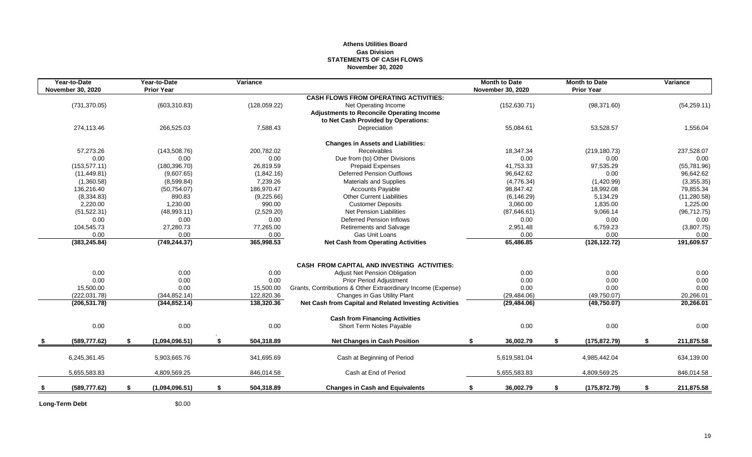### **Athens Utilities Board Gas Division STATEMENTS OF CASH FLOWS November 30, 2020**

| Year-to-Date<br><b>November 30, 2020</b> | Year-to-Date<br><b>Prior Year</b> | Variance         |                                                              | <b>Month to Date</b><br><b>November 30, 2020</b> |    | <b>Month to Date</b><br><b>Prior Year</b> | Variance         |
|------------------------------------------|-----------------------------------|------------------|--------------------------------------------------------------|--------------------------------------------------|----|-------------------------------------------|------------------|
|                                          |                                   |                  | <b>CASH FLOWS FROM OPERATING ACTIVITIES:</b>                 |                                                  |    |                                           |                  |
| (731, 370.05)                            | (603, 310.83)                     | (128, 059.22)    | Net Operating Income                                         | (152, 630.71)                                    |    | (98, 371.60)                              | (54, 259.11)     |
|                                          |                                   |                  | <b>Adjustments to Reconcile Operating Income</b>             |                                                  |    |                                           |                  |
|                                          |                                   |                  | to Net Cash Provided by Operations:                          |                                                  |    |                                           |                  |
| 274,113.46                               | 266,525.03                        | 7,588.43         | Depreciation                                                 | 55,084.61                                        |    | 53,528.57                                 | 1,556.04         |
|                                          |                                   |                  | <b>Changes in Assets and Liabilities:</b>                    |                                                  |    |                                           |                  |
| 57,273.26                                | (143, 508.76)                     | 200,782.02       | Receivables                                                  | 18.347.34                                        |    | (219, 180.73)                             | 237,528.07       |
| 0.00                                     | 0.00                              | 0.00             | Due from (to) Other Divisions                                | 0.00                                             |    | 0.00                                      | 0.00             |
| (153, 577.11)                            | (180, 396.70)                     | 26,819.59        | Prepaid Expenses                                             | 41,753.33                                        |    | 97,535.29                                 | (55, 781.96)     |
| (11, 449.81)                             | (9,607.65)                        | (1,842.16)       | <b>Deferred Pension Outflows</b>                             | 96,642.62                                        |    | 0.00                                      | 96,642.62        |
| (1,360.58)                               | (8,599.84)                        | 7,239.26         | <b>Materials and Supplies</b>                                | (4,776.34)                                       |    | (1,420.99)                                | (3,355.35)       |
| 136,216.40                               | (50, 754.07)                      | 186,970.47       | <b>Accounts Payable</b>                                      | 98,847.42                                        |    | 18,992.08                                 | 79,855.34        |
| (8,334.83)                               | 890.83                            | (9,225.66)       | <b>Other Current Liabilities</b>                             | (6, 146.29)                                      |    | 5,134.29                                  | (11, 280.58)     |
| 2,220.00                                 | 1,230.00                          | 990.00           | <b>Customer Deposits</b>                                     | 3,060.00                                         |    | 1,835.00                                  | 1,225.00         |
| (51, 522.31)                             | (48,993.11)                       | (2,529.20)       | <b>Net Pension Liabilities</b>                               | (87,646.61)                                      |    | 9,066.14                                  | (96, 712.75)     |
| 0.00                                     | 0.00                              | 0.00             | <b>Deferred Pension Inflows</b>                              | 0.00                                             |    | 0.00                                      | 0.00             |
| 104,545.73                               | 27,280.73                         | 77,265.00        | <b>Retirements and Salvage</b>                               | 2,951.48                                         |    | 6,759.23                                  | (3,807.75)       |
| 0.00                                     | 0.00                              | 0.00             | Gas Unit Loans                                               | 0.00                                             |    | 0.00                                      | 0.00             |
| (383, 245.84)                            | (749, 244.37)                     | 365,998.53       | <b>Net Cash from Operating Activities</b>                    | 65,486.85                                        |    | (126, 122.72)                             | 191,609.57       |
|                                          |                                   |                  |                                                              |                                                  |    |                                           |                  |
|                                          |                                   |                  | <b>CASH FROM CAPITAL AND INVESTING ACTIVITIES:</b>           |                                                  |    |                                           |                  |
| 0.00                                     | 0.00                              | 0.00             | Adjust Net Pension Obligation                                | 0.00                                             |    | 0.00                                      | 0.00             |
| 0.00                                     | 0.00                              | 0.00             | <b>Prior Period Adjustment</b>                               | 0.00                                             |    | 0.00                                      | 0.00             |
| 15,500.00                                | 0.00                              | 15,500.00        | Grants, Contributions & Other Extraordinary Income (Expense) | 0.00                                             |    | 0.00                                      | 0.00             |
| (222, 031.78)                            | (344, 852.14)                     | 122,820.36       | Changes in Gas Utility Plant                                 | (29, 484.06)                                     |    | (49,750.07)                               | 20,266.01        |
| (206, 531.78)                            | (344, 852.14)                     | 138,320.36       | Net Cash from Capital and Related Investing Activities       | (29, 484.06)                                     |    | (49,750.07)                               | 20,266.01        |
|                                          |                                   |                  | <b>Cash from Financing Activities</b>                        |                                                  |    |                                           |                  |
| 0.00                                     | 0.00                              | 0.00             | Short Term Notes Payable                                     | 0.00                                             |    | 0.00                                      | 0.00             |
| (589, 777.62)                            | \$<br>(1,094,096.51)              | \$<br>504,318.89 | <b>Net Changes in Cash Position</b>                          | 36,002.79<br>\$                                  | s. | (175, 872.79)                             | \$<br>211,875.58 |
| 6,245,361.45                             | 5,903,665.76                      | 341,695.69       | Cash at Beginning of Period                                  | 5,619,581.04                                     |    | 4,985,442.04                              | 634,139.00       |
|                                          |                                   |                  |                                                              |                                                  |    |                                           |                  |
| 5,655,583.83                             | 4,809,569.25                      | 846,014.58       | Cash at End of Period                                        | 5,655,583.83                                     |    | 4,809,569.25                              | 846,014.58       |
| (589, 777.62)                            | \$<br>(1,094,096.51)              | \$<br>504,318.89 | <b>Changes in Cash and Equivalents</b>                       | 36,002.79<br>\$                                  | \$ | (175, 872.79)                             | \$<br>211,875.58 |
|                                          |                                   |                  |                                                              |                                                  |    |                                           |                  |

Long-Term Debt \$0.00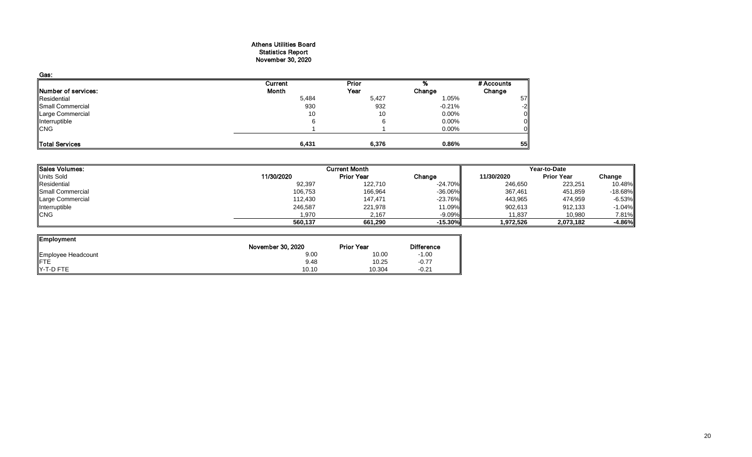#### Athens Utilities Board Statistics Report November 30, 2020

| Gas:                       |         |              |          |            |
|----------------------------|---------|--------------|----------|------------|
|                            | Current | <b>Prior</b> |          | # Accounts |
| <b>Number of services:</b> | Month   | Year         | Change   | Change     |
| Residential                | 5,484   | 5,427        | 1.05%    | 57         |
| Small Commercial           | 930     | 932          | $-0.21%$ | -2         |
| Large Commercial           | 10      | 10           | $0.00\%$ | 0          |
| Interruptible              | 6       |              | 0.00%    |            |
| <b>CNG</b>                 |         |              | 0.00%    |            |
|                            |         |              |          |            |
| Total Services             | 6,431   | 6,376        | 0.86%    | 55         |

| Sales Volumes:          |            | <b>Current Month</b> |            | Year-to-Date |                   |           |  |
|-------------------------|------------|----------------------|------------|--------------|-------------------|-----------|--|
| Units Sold              | 11/30/2020 | <b>Prior Year</b>    | Change     | 11/30/2020   | <b>Prior Year</b> | Change    |  |
| Residential             | 92,397     | 122,710              | $-24.70\%$ | 246,650      | 223,251           | 10.48%    |  |
| <b>Small Commercial</b> | 106,753    | 166,964              | $-36.06\%$ | 367,461      | 451,859           | $-18.68%$ |  |
| Large Commercial        | 112,430    | 147,471              | $-23.76\%$ | 443,965      | 474,959           | $-6.53%$  |  |
| Interruptible           | 246,587    | 221,978              | 11.09%     | 902,613      | 912,133           | $-1.04%$  |  |
| <b>CNG</b>              | 1,970      | 2,167                | $-9.09\%$  | 11,837       | 10,980            | 7.81%     |  |
|                         | 560,137    | 661,290              | $-15.30%$  | 1,972,526    | 2,073,182         | $-4.86%$  |  |

| Employment         |                   |                   |                   |
|--------------------|-------------------|-------------------|-------------------|
|                    | November 30, 2020 | <b>Prior Year</b> | <b>Difference</b> |
| Employee Headcount | 9.00              | 10.00             | $-1.00$           |
| <b>IFTE</b>        | 9.48              | 10.25             | $-0.77$           |
| IY-T-D FTE         | 10.10             | 10.304            | $-0.21$           |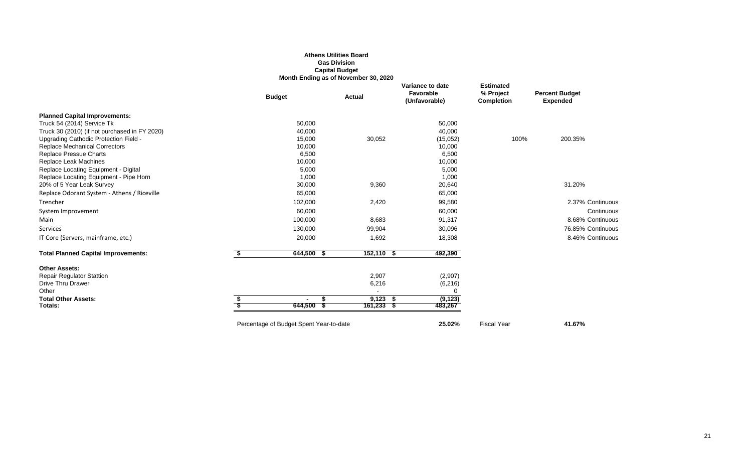### **Athens Utilities Board Gas Division Capital Budget Month Ending as of November 30, 2020**

|                                               | <b>Budget</b>                           | <b>Actual</b> | Variance to date<br>Favorable<br>(Unfavorable) | <b>Estimated</b><br>% Project<br><b>Completion</b> | <b>Percent Budget</b><br><b>Expended</b> |
|-----------------------------------------------|-----------------------------------------|---------------|------------------------------------------------|----------------------------------------------------|------------------------------------------|
| <b>Planned Capital Improvements:</b>          |                                         |               |                                                |                                                    |                                          |
| Truck 54 (2014) Service Tk                    | 50,000                                  |               | 50,000                                         |                                                    |                                          |
| Truck 30 (2010) (if not purchased in FY 2020) | 40,000                                  |               | 40,000                                         |                                                    |                                          |
| Upgrading Cathodic Protection Field -         | 15,000                                  | 30,052        | (15,052)                                       | 100%                                               | 200.35%                                  |
| <b>Replace Mechanical Correctors</b>          | 10,000                                  |               | 10,000                                         |                                                    |                                          |
| <b>Replace Pressue Charts</b>                 | 6,500                                   |               | 6,500                                          |                                                    |                                          |
| Replace Leak Machines                         | 10,000                                  |               | 10,000                                         |                                                    |                                          |
| Replace Locating Equipment - Digital          | 5,000                                   |               | 5,000                                          |                                                    |                                          |
| Replace Locating Equipment - Pipe Horn        | 1,000                                   |               | 1,000                                          |                                                    |                                          |
| 20% of 5 Year Leak Survey                     | 30,000                                  | 9,360         | 20,640                                         |                                                    | 31.20%                                   |
| Replace Odorant System - Athens / Riceville   | 65,000                                  |               | 65,000                                         |                                                    |                                          |
| Trencher                                      | 102,000                                 | 2,420         | 99,580                                         |                                                    | 2.37% Continuous                         |
| System Improvement                            | 60,000                                  |               | 60,000                                         |                                                    | Continuous                               |
| Main                                          | 100,000                                 | 8,683         | 91,317                                         |                                                    | 8.68% Continuous                         |
| Services                                      | 130,000                                 | 99,904        | 30,096                                         |                                                    | 76.85% Continuous                        |
| IT Core (Servers, mainframe, etc.)            | 20,000                                  | 1,692         | 18,308                                         |                                                    | 8.46% Continuous                         |
| <b>Total Planned Capital Improvements:</b>    | $644,500$ \$                            | 152,110 \$    | 492,390                                        |                                                    |                                          |
| <b>Other Assets:</b>                          |                                         |               |                                                |                                                    |                                          |
| <b>Repair Regulator Stattion</b>              |                                         | 2,907         | (2,907)                                        |                                                    |                                          |
| <b>Drive Thru Drawer</b>                      |                                         | 6,216         | (6, 216)                                       |                                                    |                                          |
| Other                                         |                                         |               |                                                |                                                    |                                          |
| <b>Total Other Assets:</b>                    | $\blacksquare$                          | $9,123$ \$    | (9, 123)                                       |                                                    |                                          |
| Totals:                                       | 644,500                                 | $161,233$ \$  | 483,267                                        |                                                    |                                          |
|                                               | Percentage of Budget Spent Year-to-date |               | 25.02%                                         | <b>Fiscal Year</b>                                 | 41.67%                                   |
|                                               |                                         |               |                                                |                                                    |                                          |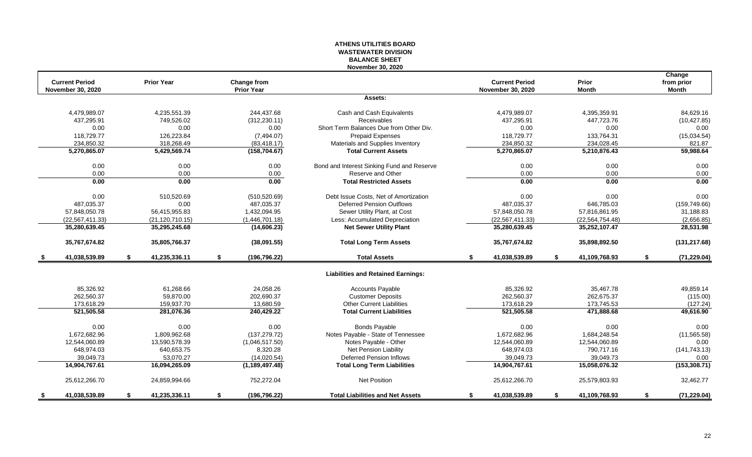### **ATHENS UTILITIES BOARD WASTEWATER DIVISION BALANCE SHEET November 30, 2020**

| <b>Current Period</b>    |    | <b>Prior Year</b> | <b>Change from</b>  |                                            |    | <b>Current Period</b> |    | Prior              | Change<br>from prior |
|--------------------------|----|-------------------|---------------------|--------------------------------------------|----|-----------------------|----|--------------------|----------------------|
| <b>November 30, 2020</b> |    |                   | <b>Prior Year</b>   |                                            |    | November 30, 2020     |    | <b>Month</b>       | <b>Month</b>         |
|                          |    |                   |                     | Assets:                                    |    |                       |    |                    |                      |
| 4,479,989.07             |    | 4,235,551.39      | 244,437.68          | Cash and Cash Equivalents                  |    | 4,479,989.07          |    | 4,395,359.91       | 84,629.16            |
| 437,295.91               |    | 749,526.02        | (312, 230.11)       | Receivables                                |    | 437,295.91            |    | 447,723.76         | (10, 427.85)         |
| 0.00                     |    | 0.00              | 0.00                | Short Term Balances Due from Other Div.    |    | 0.00                  |    | 0.00               | 0.00                 |
| 118,729.77               |    | 126.223.84        | (7,494.07)          | <b>Prepaid Expenses</b>                    |    | 118,729.77            |    | 133,764.31         | (15,034.54)          |
| 234,850.32               |    | 318,268.49        | (83, 418.17)        | Materials and Supplies Inventory           |    | 234,850.32            |    | 234,028.45         | 821.87               |
| 5,270,865.07             |    | 5,429,569.74      | (158, 704.67)       | <b>Total Current Assets</b>                |    | 5,270,865.07          |    | 5,210,876.43       | 59,988.64            |
| 0.00                     |    | 0.00              | 0.00                | Bond and Interest Sinking Fund and Reserve |    | 0.00                  |    | 0.00               | 0.00                 |
| 0.00                     |    | 0.00              | 0.00                | Reserve and Other                          |    | 0.00                  |    | 0.00               | 0.00                 |
| 0.00                     |    | 0.00              | 0.00                | <b>Total Restricted Assets</b>             |    | 0.00                  |    | 0.00               | 0.00                 |
| 0.00                     |    | 510,520.69        | (510, 520.69)       | Debt Issue Costs, Net of Amortization      |    | 0.00                  |    | 0.00               | 0.00                 |
| 487,035.37               |    | 0.00              | 487,035.37          | Deferred Pension Outflows                  |    | 487,035.37            |    | 646,785.03         | (159, 749.66)        |
| 57,848,050.78            |    | 56,415,955.83     | 1,432,094.95        | Sewer Utility Plant, at Cost               |    | 57,848,050.78         |    | 57,816,861.95      | 31,188.83            |
| (22, 567, 411, 33)       |    | (21, 120, 710.15) | (1,446,701.18)      | Less: Accumulated Depreciation             |    | (22, 567, 411.33)     |    | (22, 564, 754, 48) | (2,656.85)           |
| 35,280,639.45            |    | 35,295,245.68     | (14,606.23)         | <b>Net Sewer Utility Plant</b>             |    | 35,280,639.45         |    | 35,252,107.47      | 28,531.98            |
| 35,767,674.82            |    | 35,805,766.37     | (38,091.55)         | <b>Total Long Term Assets</b>              |    | 35,767,674.82         |    | 35,898,892.50      | (131, 217.68)        |
| 41,038,539.89            | S. | 41,235,336.11     | \$<br>(196, 796.22) | <b>Total Assets</b>                        | S. | 41,038,539.89         | £. | 41,109,768.93      | \$<br>(71, 229.04)   |
|                          |    |                   |                     | <b>Liabilities and Retained Earnings:</b>  |    |                       |    |                    |                      |
| 85,326.92                |    | 61,268.66         | 24,058.26           | <b>Accounts Payable</b>                    |    | 85,326.92             |    | 35,467.78          | 49,859.14            |
| 262,560.37               |    | 59,870.00         | 202,690.37          | <b>Customer Deposits</b>                   |    | 262,560.37            |    | 262,675.37         | (115.00)             |
| 173,618.29               |    | 159,937.70        | 13,680.59           | <b>Other Current Liabilities</b>           |    | 173,618.29            |    | 173,745.53         | (127.24)             |
| 521,505.58               |    | 281,076.36        | 240,429.22          | <b>Total Current Liabilities</b>           |    | 521,505.58            |    | 471,888.68         | 49,616.90            |
| 0.00                     |    | 0.00              | 0.00                | <b>Bonds Payable</b>                       |    | 0.00                  |    | 0.00               | 0.00                 |
| 1,672,682.96             |    | 1,809,962.68      | (137, 279.72)       | Notes Payable - State of Tennessee         |    | 1,672,682.96          |    | 1,684,248.54       | (11, 565.58)         |
| 12,544,060.89            |    | 13,590,578.39     | (1,046,517.50)      | Notes Payable - Other                      |    | 12,544,060.89         |    | 12,544,060.89      | 0.00                 |
| 648,974.03               |    | 640,653.75        | 8,320.28            | Net Pension Liability                      |    | 648,974.03            |    | 790,717.16         | (141, 743.13)        |
| 39,049.73                |    | 53.070.27         | (14,020.54)         | <b>Deferred Pension Inflows</b>            |    | 39,049.73             |    | 39,049.73          | 0.00                 |
| 14,904,767.61            |    | 16,094,265.09     | (1, 189, 497.48)    | <b>Total Long Term Liabilities</b>         |    | 14,904,767.61         |    | 15,058,076.32      | (153, 308.71)        |
| 25,612,266.70            |    | 24,859,994.66     | 752,272.04          | <b>Net Position</b>                        |    | 25,612,266.70         |    | 25,579,803.93      | 32,462.77            |
| 41,038,539.89            | S. | 41,235,336.11     | \$<br>(196, 796.22) | <b>Total Liabilities and Net Assets</b>    | \$ | 41,038,539.89         | S. | 41,109,768.93      | \$<br>(71, 229.04)   |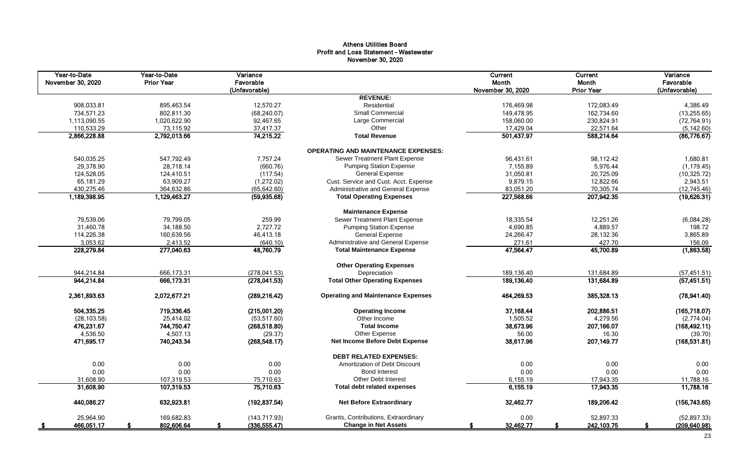# Athens Utilities Board Profit and Loss Statement - Wastewater November 30, 2020

| Year-to-Date<br>November 30, 2020 | Year-to-Date<br><b>Prior Year</b> | Variance<br>Favorable<br>(Unfavorable) |                                            | <b>Current</b><br>Month<br>November 30, 2020 | Current<br>Month<br><b>Prior Year</b> | Variance<br>Favorable<br>(Unfavorable) |
|-----------------------------------|-----------------------------------|----------------------------------------|--------------------------------------------|----------------------------------------------|---------------------------------------|----------------------------------------|
|                                   |                                   |                                        | <b>REVENUE:</b>                            |                                              |                                       |                                        |
| 908,033.81                        | 895,463.54                        | 12,570.27                              | Residential                                | 176,469.98                                   | 172,083.49                            | 4,386.49                               |
| 734,571.23                        | 802,811.30                        | (68, 240.07)                           | Small Commercial                           | 149,478.95                                   | 162,734.60                            | (13, 255.65)                           |
| 1,113,090.55                      | 1,020,622.90                      | 92,467.65                              | Large Commercial                           | 158,060.00                                   | 230,824.91                            | (72, 764.91)                           |
| 110,533.29                        | 73,115.92                         | 37,417.37                              | Other                                      | 17,429.04                                    | 22.571.64                             | (5, 142.60)                            |
| 2,866,228.88                      | 2,792,013.66                      | 74,215.22                              | <b>Total Revenue</b>                       | 501,437.97                                   | 588,214.64                            | (86,776.67)                            |
|                                   |                                   |                                        | <b>OPERATING AND MAINTENANCE EXPENSES:</b> |                                              |                                       |                                        |
| 540,035.25                        | 547,792.49                        | 7,757.24                               | Sewer Treatment Plant Expense              | 96,431.61                                    | 98,112.42                             | 1,680.81                               |
| 29,378.90                         | 28,718.14                         | (660.76)                               | <b>Pumping Station Expense</b>             | 7,155.89                                     | 5,976.44                              | (1, 179.45)                            |
| 124,528.05                        | 124,410.51                        | (117.54)                               | <b>General Expense</b>                     | 31,050.81                                    | 20,725.09                             | (10, 325.72)                           |
| 65,181.29                         | 63,909.27                         | (1,272.02)                             | Cust. Service and Cust. Acct. Expense      | 9,879.15                                     | 12,822.66                             | 2,943.51                               |
| 430,275.46                        | 364,632.86                        | (65, 642.60)                           | Administrative and General Expense         | 83,051.20                                    | 70,305.74                             | (12,745.46)                            |
| 1,189,398.95                      | 1,129,463.27                      | (59, 935.68)                           | <b>Total Operating Expenses</b>            | 227,568.66                                   | 207,942.35                            | (19,626.31)                            |
|                                   |                                   |                                        | <b>Maintenance Expense</b>                 |                                              |                                       |                                        |
| 79,539.06                         | 79,799.05                         | 259.99                                 | Sewer Treatment Plant Expense              | 18,335.54                                    | 12,251.26                             | (6,084.28)                             |
| 31,460.78                         | 34,188.50                         | 2,727.72                               | <b>Pumping Station Expense</b>             | 4,690.85                                     | 4,889.57                              | 198.72                                 |
| 114,226.38                        | 160,639.56                        | 46,413.18                              | <b>General Expense</b>                     | 24,266.47                                    | 28,132.36                             | 3,865.89                               |
| 3,053.62                          | 2,413.52                          | (640.10)                               | Administrative and General Expense         | 271.61                                       | 427.70                                | 156.09                                 |
| 228,279.84                        | 277,040.63                        | 48,760.79                              | <b>Total Maintenance Expense</b>           | 47,564.47                                    | 45,700.89                             | (1,863.58)                             |
|                                   |                                   |                                        | <b>Other Operating Expenses</b>            |                                              |                                       |                                        |
| 944,214.84                        | 666,173.31                        | (278, 041.53)                          | Depreciation                               | 189,136.40                                   | 131,684.89                            | (57, 451.51)                           |
| 944,214.84                        | 666,173.31                        | (278, 041.53)                          | <b>Total Other Operating Expenses</b>      | 189,136.40                                   | 131,684.89                            | (57, 451.51)                           |
| 2,361,893.63                      | 2,072,677.21                      | (289, 216.42)                          | <b>Operating and Maintenance Expenses</b>  | 464,269.53                                   | 385,328.13                            | (78, 941.40)                           |
| 504,335.25                        | 719,336.45                        | (215,001.20)                           | <b>Operating Income</b>                    | 37,168.44                                    | 202,886.51                            | (165, 718.07)                          |
| (28, 103.58)                      | 25,414.02                         | (53, 517.60)                           | Other Income                               | 1,505.52                                     | 4,279.56                              | (2,774.04)                             |
| 476,231.67                        | 744,750.47                        | (268, 518.80)                          | <b>Total Income</b>                        | 38,673.96                                    | 207,166.07                            | (168, 492.11)                          |
| 4,536.50                          | 4,507.13                          | (29.37)                                | Other Expense                              | 56.00                                        | 16.30                                 | (39.70)                                |
| 471,695.17                        | 740,243.34                        | (268, 548.17)                          | Net Income Before Debt Expense             | 38,617.96                                    | 207,149.77                            | (168, 531.81)                          |
|                                   |                                   |                                        | <b>DEBT RELATED EXPENSES:</b>              |                                              |                                       |                                        |
| 0.00                              | 0.00                              | 0.00                                   | Amortization of Debt Discount              | 0.00                                         | 0.00                                  | 0.00                                   |
| 0.00                              | 0.00                              | 0.00                                   | <b>Bond Interest</b>                       | 0.00                                         | 0.00                                  | 0.00                                   |
| 31,608.90                         | 107.319.53                        | 75,710.63                              | Other Debt Interest                        | 6,155.19                                     | 17,943.35                             | 11,788.16                              |
| 31,608.90                         | 107,319.53                        | 75,710.63                              | Total debt related expenses                | 6,155.19                                     | 17,943.35                             | 11,788.16                              |
| 440,086.27                        | 632,923.81                        | (192, 837.54)                          | <b>Net Before Extraordinary</b>            | 32,462.77                                    | 189,206.42                            | (156, 743.65)                          |
| 25,964.90                         | 169,682.83                        | (143, 717.93)                          | Grants, Contributions, Extraordinary       | 0.00                                         | 52,897.33                             | (52, 897.33)                           |
| 466,051.17<br>- \$                | 802,606.64                        | (336, 555.47)                          | <b>Change in Net Assets</b>                | 32,462.77<br>S                               | 242,103.75                            | (209, 640.98)<br>S                     |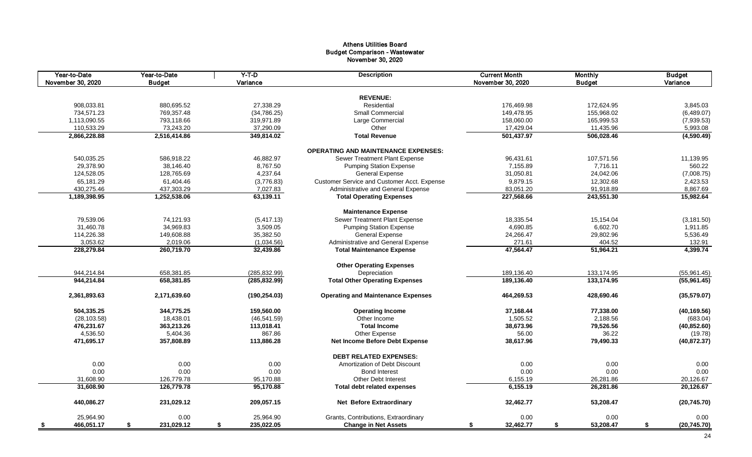# Athens Utilities Board Budget Comparison - Wastewater November 30, 2020

| Year-to-Date<br>November 30, 2020 | Year-to-Date<br><b>Budget</b> | $Y-T-D$<br>Variance | <b>Description</b>                          | <b>Current Month</b><br>November 30, 2020 | <b>Monthly</b><br><b>Budget</b> | <b>Budget</b><br>Variance |
|-----------------------------------|-------------------------------|---------------------|---------------------------------------------|-------------------------------------------|---------------------------------|---------------------------|
|                                   |                               |                     |                                             |                                           |                                 |                           |
|                                   |                               |                     | <b>REVENUE:</b>                             |                                           |                                 |                           |
| 908,033.81                        | 880,695.52                    | 27,338.29           | Residential                                 | 176,469.98                                | 172,624.95                      | 3,845.03                  |
| 734,571.23                        | 769,357.48                    | (34, 786.25)        | <b>Small Commercial</b>                     | 149,478.95                                | 155,968.02                      | (6,489.07)                |
| 1,113,090.55                      | 793,118.66                    | 319,971.89          | Large Commercial                            | 158,060.00                                | 165,999.53                      | (7,939.53)                |
| 110,533.29                        | 73,243.20                     | 37,290.09           | Other                                       | 17,429.04                                 | 11,435.96                       | 5,993.08                  |
| 2,866,228.88                      | 2,516,414.86                  | 349,814.02          | <b>Total Revenue</b>                        | 501,437.97                                | 506,028.46                      | (4,590.49)                |
|                                   |                               |                     | <b>OPERATING AND MAINTENANCE EXPENSES:</b>  |                                           |                                 |                           |
| 540,035.25                        | 586,918.22                    | 46,882.97           | Sewer Treatment Plant Expense               | 96,431.61                                 | 107,571.56                      | 11,139.95                 |
| 29,378.90                         | 38.146.40                     | 8,767.50            | <b>Pumping Station Expense</b>              | 7,155.89                                  | 7.716.11                        | 560.22                    |
| 124,528.05                        | 128,765.69                    | 4,237.64            | <b>General Expense</b>                      | 31,050.81                                 | 24,042.06                       | (7,008.75)                |
| 65,181.29                         | 61,404.46                     | (3,776.83)          | Customer Service and Customer Acct. Expense | 9,879.15                                  | 12,302.68                       | 2,423.53                  |
| 430,275.46                        | 437,303.29                    | 7,027.83            | Administrative and General Expense          | 83,051.20                                 | 91,918.89                       | 8,867.69                  |
| 1,189,398.95                      | 1,252,538.06                  | 63,139.11           | <b>Total Operating Expenses</b>             | 227,568.66                                | 243,551.30                      | 15,982.64                 |
|                                   |                               |                     | <b>Maintenance Expense</b>                  |                                           |                                 |                           |
| 79,539.06                         | 74,121.93                     | (5,417.13)          | Sewer Treatment Plant Expense               | 18,335.54                                 | 15,154.04                       | (3, 181.50)               |
| 31,460.78                         | 34,969.83                     | 3,509.05            | <b>Pumping Station Expense</b>              | 4,690.85                                  | 6,602.70                        | 1,911.85                  |
| 114,226.38                        | 149,608.88                    | 35,382.50           | <b>General Expense</b>                      | 24,266.47                                 | 29,802.96                       | 5,536.49                  |
| 3,053.62                          | 2,019.06                      | (1,034.56)          | Administrative and General Expense          | 271.61                                    | 404.52                          | 132.91                    |
| 228,279.84                        | 260,719.70                    | 32,439.86           | <b>Total Maintenance Expense</b>            | 47,564.47                                 | 51,964.21                       | 4,399.74                  |
|                                   |                               |                     | <b>Other Operating Expenses</b>             |                                           |                                 |                           |
|                                   |                               |                     |                                             |                                           |                                 |                           |
| 944,214.84                        | 658,381.85                    | (285, 832.99)       | Depreciation                                | 189,136.40                                | 133,174.95                      | (55,961.45)               |
| 944,214.84                        | 658,381.85                    | (285, 832.99)       | <b>Total Other Operating Expenses</b>       | 189,136.40                                | 133,174.95                      | (55,961.45)               |
| 2,361,893.63                      | 2,171,639.60                  | (190, 254.03)       | <b>Operating and Maintenance Expenses</b>   | 464,269.53                                | 428,690.46                      | (35,579.07)               |
| 504,335.25                        | 344,775.25                    | 159,560.00          | <b>Operating Income</b>                     | 37,168.44                                 | 77,338.00                       | (40, 169.56)              |
| (28, 103.58)                      | 18,438.01                     | (46, 541.59)        | Other Income                                | 1,505.52                                  | 2,188.56                        | (683.04)                  |
| 476,231.67                        | 363,213.26                    | 113,018.41          | <b>Total Income</b>                         | 38,673.96                                 | 79,526.56                       | (40, 852.60)              |
| 4,536.50                          | 5,404.36                      | 867.86              | Other Expense                               | 56.00                                     | 36.22                           | (19.78)                   |
| 471,695.17                        | 357,808.89                    | 113,886.28          | <b>Net Income Before Debt Expense</b>       | 38,617.96                                 | 79,490.33                       | (40, 872.37)              |
|                                   |                               |                     | <b>DEBT RELATED EXPENSES:</b>               |                                           |                                 |                           |
| 0.00                              | 0.00                          | 0.00                | Amortization of Debt Discount               | 0.00                                      | 0.00                            | 0.00                      |
| 0.00                              | 0.00                          | 0.00                | <b>Bond Interest</b>                        | 0.00                                      | 0.00                            | 0.00                      |
| 31,608.90                         | 126,779.78                    | 95,170.88           | <b>Other Debt Interest</b>                  | 6,155.19                                  | 26,281.86                       | 20,126.67                 |
| 31,608.90                         | 126,779.78                    | 95,170.88           | <b>Total debt related expenses</b>          | 6,155.19                                  | 26,281.86                       | 20,126.67                 |
| 440,086.27                        | 231,029.12                    | 209,057.15          | <b>Net Before Extraordinary</b>             | 32,462.77                                 | 53,208.47                       | (20, 745.70)              |
| 25,964.90                         | 0.00                          | 25,964.90           | Grants, Contributions, Extraordinary        | 0.00                                      | 0.00                            | 0.00                      |
| 466,051.17<br>-\$                 | \$<br>231,029.12              | 235,022.05<br>\$    | <b>Change in Net Assets</b>                 | 32,462.77<br>\$                           | \$<br>53,208.47                 | \$<br>(20, 745.70)        |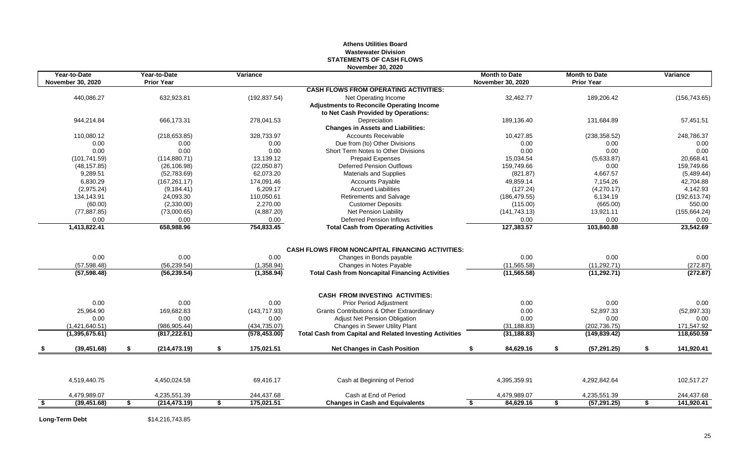# **Athens Utilities Board Wastewater Division STATEMENTS OF CASH FLOWS November 30, 2020**

| Year-to-Date<br><b>November 30, 2020</b> | Year-to-Date<br><b>Prior Year</b> | Variance         |                                                                 | <b>Month to Date</b><br><b>November 30, 2020</b> |    | <b>Month to Date</b><br><b>Prior Year</b> | Variance         |
|------------------------------------------|-----------------------------------|------------------|-----------------------------------------------------------------|--------------------------------------------------|----|-------------------------------------------|------------------|
|                                          |                                   |                  | <b>CASH FLOWS FROM OPERATING ACTIVITIES:</b>                    |                                                  |    |                                           |                  |
| 440,086.27                               | 632,923.81                        | (192, 837.54)    | Net Operating Income                                            | 32,462.77                                        |    | 189,206.42                                | (156, 743.65)    |
|                                          |                                   |                  | <b>Adjustments to Reconcile Operating Income</b>                |                                                  |    |                                           |                  |
|                                          |                                   |                  | to Net Cash Provided by Operations:                             |                                                  |    |                                           |                  |
| 944,214.84                               | 666,173.31                        | 278,041.53       | Depreciation                                                    | 189,136.40                                       |    | 131,684.89                                | 57,451.51        |
|                                          |                                   |                  | <b>Changes in Assets and Liabilities:</b>                       |                                                  |    |                                           |                  |
| 110,080.12                               | (218, 653.85)                     | 328,733.97       | <b>Accounts Receivable</b>                                      | 10,427.85                                        |    | (238, 358.52)                             | 248,786.37       |
| 0.00                                     | 0.00                              | 0.00             | Due from (to) Other Divisions                                   | 0.00                                             |    | 0.00                                      | 0.00             |
| 0.00                                     | 0.00                              | 0.00             | Short Term Notes to Other Divisions                             | 0.00                                             |    | 0.00                                      | 0.00             |
| (101, 741.59)                            | (114, 880.71)                     | 13,139.12        | <b>Prepaid Expenses</b>                                         | 15,034.54                                        |    | (5,633.87)                                | 20,668.41        |
| (48, 157.85)                             | (26, 106.98)                      | (22,050.87)      | <b>Deferred Pension Outflows</b>                                | 159.749.66                                       |    | 0.00                                      | 159.749.66       |
| 9,289.51                                 | (52,783.69)                       | 62,073.20        | <b>Materials and Supplies</b>                                   | (821.87)                                         |    | 4,667.57                                  | (5,489.44)       |
| 6,830.29                                 | (167, 261.17)                     | 174,091.46       | <b>Accounts Payable</b>                                         | 49,859.14                                        |    | 7,154.26                                  | 42,704.88        |
| (2,975.24)                               | (9, 184.41)                       | 6,209.17         | <b>Accrued Liabilities</b>                                      | (127.24)                                         |    | (4,270.17)                                | 4,142.93         |
| 134,143.91                               | 24,093.30                         | 110.050.61       | Retirements and Salvage                                         | (186, 479.55)                                    |    | 6,134.19                                  | (192, 613.74)    |
| (60.00)                                  | (2,330.00)                        | 2,270.00         | <b>Customer Deposits</b>                                        | (115.00)                                         |    | (665.00)                                  | 550.00           |
| (77, 887.85)                             | (73,000.65)                       | (4,887.20)       | Net Pension Liability                                           | (141, 743.13)                                    |    | 13,921.11                                 | (155, 664.24)    |
| 0.00                                     | 0.00                              | 0.00             | <b>Deferred Pension Inflows</b>                                 | 0.00                                             |    | 0.00                                      | 0.00             |
| 1,413,822.41                             | 658,988.96                        | 754,833.45       | <b>Total Cash from Operating Activities</b>                     | 127,383.57                                       |    | 103,840.88                                | 23,542.69        |
|                                          |                                   |                  |                                                                 |                                                  |    |                                           |                  |
|                                          |                                   |                  | <b>CASH FLOWS FROM NONCAPITAL FINANCING ACTIVITIES:</b>         |                                                  |    |                                           |                  |
| 0.00                                     | 0.00                              | 0.00             | Changes in Bonds payable                                        | 0.00                                             |    | 0.00                                      | 0.00             |
| (57, 598.48)                             | (56, 239.54)                      | (1,358.94)       | Changes in Notes Payable                                        | (11, 565.58)                                     |    | (11, 292.71)                              | (272.87)         |
| (57, 598.48)                             | (56, 239.54)                      | (1,358.94)       | <b>Total Cash from Noncapital Financing Activities</b>          | (11, 565.58)                                     |    | (11, 292.71)                              | (272.87)         |
|                                          |                                   |                  | <b>CASH FROM INVESTING ACTIVITIES:</b>                          |                                                  |    |                                           |                  |
| 0.00                                     | 0.00                              | 0.00             | <b>Prior Period Adjustment</b>                                  | 0.00                                             |    | 0.00                                      | 0.00             |
| 25,964.90                                | 169,682.83                        | (143, 717.93)    | Grants Contributions & Other Extraordinary                      | 0.00                                             |    | 52,897.33                                 | (52, 897.33)     |
| 0.00                                     | 0.00                              | 0.00             | <b>Adjust Net Pension Obligation</b>                            | 0.00                                             |    | 0.00                                      | 0.00             |
| (1,421,640.51)                           | (986, 905.44)                     | (434, 735.07)    | Changes in Sewer Utility Plant                                  | (31, 188.83)                                     |    | (202, 736.75)                             | 171,547.92       |
| (1,395,675.61)                           | (817, 222.61)                     | (578, 453.00)    | <b>Total Cash from Capital and Related Investing Activities</b> | (31, 188.83)                                     |    | (149, 839.42)                             | 118,650.59       |
| (39, 451.68)                             | \$<br>(214, 473.19)               | \$<br>175,021.51 | <b>Net Changes in Cash Position</b>                             | \$<br>84,629.16                                  | \$ | (57, 291.25)                              | \$<br>141,920.41 |
|                                          |                                   |                  |                                                                 |                                                  |    |                                           |                  |
| 4,519,440.75                             | 4,450,024.58                      | 69,416.17        | Cash at Beginning of Period                                     | 4,395,359.91                                     |    | 4,292,842.64                              | 102,517.27       |
| 4,479,989.07                             | 4,235,551.39                      | 244,437.68       | Cash at End of Period                                           | 4,479,989.07                                     |    | 4,235,551.39                              | 244,437.68       |
| (39, 451.68)                             | \$<br>(214, 473.19)               | \$<br>175,021.51 | <b>Changes in Cash and Equivalents</b>                          | 84,629.16<br>\$                                  | S. | (57, 291.25)                              | \$<br>141,920.41 |

**Long-Term Debt** \$14,216,743.85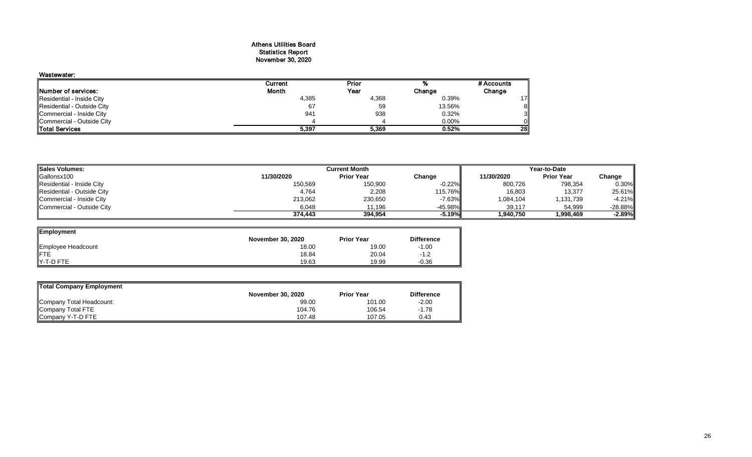### Athens Utilities Board Statistics Report November 30, 2020

# Wastewater:

|                            | Current      | Prior |          | # Accounts     |
|----------------------------|--------------|-------|----------|----------------|
| Number of services:        | <b>Month</b> | Year  | Change   | Change         |
| Residential - Inside City  | 4,385        | 4,368 | 0.39%    | 17I            |
| Residential - Outside City | 67           | 59    | 13.56%   | 81             |
| Commercial - Inside City   | 941          | 938   | 0.32%    | 3 <sub>l</sub> |
| Commercial - Outside City  |              |       | $0.00\%$ | Οll            |
| <b>Total Services</b>      | 5,397        | 5.369 | 0.52%    | <b>28</b>      |

| <b>Sales Volumes:</b>      | <b>Current Month</b> |                   |                   | Year-to-Date |                   |           |  |
|----------------------------|----------------------|-------------------|-------------------|--------------|-------------------|-----------|--|
| Gallonsx100                | 11/30/2020           | <b>Prior Year</b> | Change            | 11/30/2020   | <b>Prior Year</b> | Change    |  |
| Residential - Inside City  | 150,569              | 150,900           | $-0.22\%$         | 800,726      | 798,354           | $0.30\%$  |  |
| Residential - Outside City | 4,764                | 2,208             | 115.76% <b>II</b> | 16,803       | 13,377            | 25.61%    |  |
| Commercial - Inside City   | 213,062              | 230,650           | $-7.63%$          | 1,084,104    | 1,131,739         | $-4.21%$  |  |
| Commercial - Outside City  | 6,048                | 11.196            | $-45.98\%$        | 39,117       | 54,999            | $-28.88%$ |  |
|                            | 374.443              | 394.954           | $-5.19%$          | 1.940.750    | 1.998.469         | $-2.89%$  |  |

=

| Employment         |                          |                   |                   |
|--------------------|--------------------------|-------------------|-------------------|
|                    | <b>November 30, 2020</b> | <b>Prior Year</b> | <b>Difference</b> |
| Employee Headcount | 18.00                    | 19.00             | $-1.00$           |
|                    | 18.84                    | 20.04             | $-1.2$            |
| Y-T-D FTE          | 19.63                    | 19.99             | $-0.36$           |

| Total Company Employment |                   |                   |                   |
|--------------------------|-------------------|-------------------|-------------------|
|                          | November 30, 2020 | <b>Prior Year</b> | <b>Difference</b> |
| Company Total Headcount: | 99.00             | 101.00            | $-2.00$           |
| Company Total FTE        | 104.76            | 106.54            | $-1.78$           |
| Company Y-T-D FTE        | 107.48            | 107.05            | 0.43              |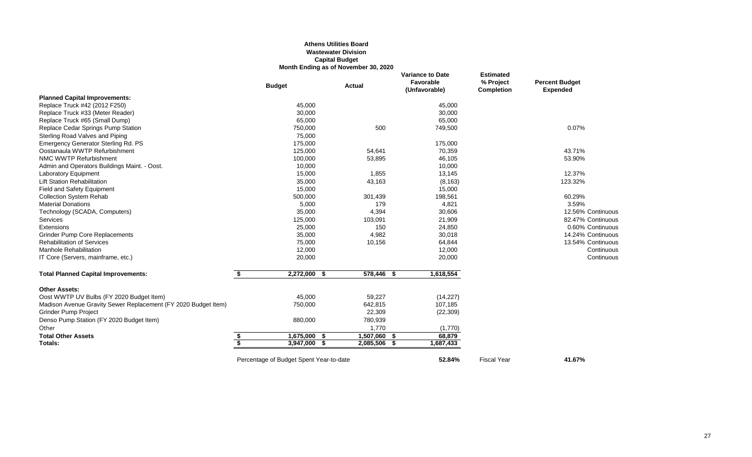# **Athens Utilities Board Wastewater Division Capital Budget Month Ending as of November 30, 2020**

|                                                                | <b>Budget</b>                           |                | <b>Actual</b> |            |      | <b>Variance to Date</b><br>Favorable<br>(Unfavorable) | <b>Estimated</b><br>% Project<br><b>Completion</b> | <b>Percent Budget</b><br><b>Expended</b> |
|----------------------------------------------------------------|-----------------------------------------|----------------|---------------|------------|------|-------------------------------------------------------|----------------------------------------------------|------------------------------------------|
| <b>Planned Capital Improvements:</b>                           |                                         |                |               |            |      |                                                       |                                                    |                                          |
| Replace Truck #42 (2012 F250)                                  |                                         | 45,000         |               |            |      | 45,000                                                |                                                    |                                          |
| Replace Truck #33 (Meter Reader)                               |                                         | 30,000         |               |            |      | 30,000                                                |                                                    |                                          |
| Replace Truck #65 (Small Dump)                                 |                                         | 65,000         |               |            |      | 65,000                                                |                                                    |                                          |
| Replace Cedar Springs Pump Station                             |                                         | 750,000        |               | 500        |      | 749,500                                               |                                                    | 0.07%                                    |
| Sterling Road Valves and Piping                                |                                         | 75,000         |               |            |      |                                                       |                                                    |                                          |
| Emergency Generator Sterling Rd. PS                            |                                         | 175,000        |               |            |      | 175,000                                               |                                                    |                                          |
| Oostanaula WWTP Refurbishment                                  |                                         | 125,000        |               | 54,641     |      | 70,359                                                |                                                    | 43.71%                                   |
| NMC WWTP Refurbishment                                         |                                         | 100,000        |               | 53,895     |      | 46,105                                                |                                                    | 53.90%                                   |
| Admin and Operators Buildings Maint. - Oost.                   |                                         | 10,000         |               |            |      | 10,000                                                |                                                    |                                          |
| <b>Laboratory Equipment</b>                                    |                                         | 15,000         |               | 1,855      |      | 13,145                                                |                                                    | 12.37%                                   |
| <b>Lift Station Rehabilitation</b>                             |                                         | 35,000         |               | 43,163     |      | (8, 163)                                              |                                                    | 123.32%                                  |
| Field and Safety Equipment                                     |                                         | 15,000         |               |            |      | 15,000                                                |                                                    |                                          |
| <b>Collection System Rehab</b>                                 |                                         | 500,000        |               | 301,439    |      | 198,561                                               |                                                    | 60.29%                                   |
| <b>Material Donations</b>                                      |                                         | 5,000          |               | 179        |      | 4,821                                                 |                                                    | 3.59%                                    |
| Technology (SCADA, Computers)                                  |                                         | 35,000         |               | 4,394      |      | 30,606                                                |                                                    | 12.56% Continuous                        |
| Services                                                       |                                         | 125,000        |               | 103,091    |      | 21,909                                                |                                                    | 82.47% Continuous                        |
| Extensions                                                     |                                         | 25,000         |               | 150        |      | 24,850                                                |                                                    | 0.60% Continuous                         |
| <b>Grinder Pump Core Replacements</b>                          |                                         | 35,000         |               | 4,982      |      | 30,018                                                |                                                    | 14.24% Continuous                        |
| <b>Rehabilitation of Services</b>                              |                                         | 75,000         |               | 10,156     |      | 64,844                                                |                                                    | 13.54% Continuous                        |
| Manhole Rehabilitation                                         |                                         | 12,000         |               |            |      | 12,000                                                |                                                    | Continuous                               |
| IT Core (Servers, mainframe, etc.)                             |                                         | 20,000         |               |            |      | 20,000                                                |                                                    | Continuous                               |
| <b>Total Planned Capital Improvements:</b>                     | \$                                      | 2,272,000 \$   |               | 578,446 \$ |      | 1,618,554                                             |                                                    |                                          |
| <b>Other Assets:</b>                                           |                                         |                |               |            |      |                                                       |                                                    |                                          |
| Oost WWTP UV Bulbs (FY 2020 Budget Item)                       |                                         | 45,000         |               | 59,227     |      | (14, 227)                                             |                                                    |                                          |
| Madison Avenue Gravity Sewer Replacement (FY 2020 Budget Item) |                                         | 750,000        |               | 642,815    |      | 107,185                                               |                                                    |                                          |
| <b>Grinder Pump Project</b>                                    |                                         |                |               | 22,309     |      | (22, 309)                                             |                                                    |                                          |
| Denso Pump Station (FY 2020 Budget Item)                       |                                         | 880,000        |               | 780,939    |      |                                                       |                                                    |                                          |
| Other                                                          |                                         |                |               | 1,770      |      | (1,770)                                               |                                                    |                                          |
| <b>Total Other Assets</b>                                      | \$                                      | $1,675,000$ \$ |               | 1,507,060  | - \$ | 68,879                                                |                                                    |                                          |
| Totals:                                                        | $\overline{\mathbf{S}}$                 | 3,947,000 \$   |               | 2,085,506  | - \$ | 1,687,433                                             |                                                    |                                          |
|                                                                | Percentage of Budget Spent Year-to-date |                |               |            |      | 52.84%                                                | <b>Fiscal Year</b>                                 | 41.67%                                   |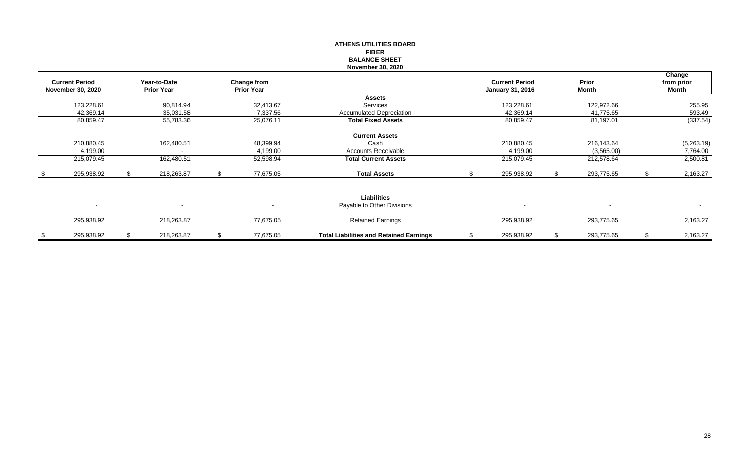|                          |    |                   |    |                   | <b>ATHENS UTILITIES BOARD</b>                  |                         |                  |    |            |
|--------------------------|----|-------------------|----|-------------------|------------------------------------------------|-------------------------|------------------|----|------------|
|                          |    |                   |    |                   | <b>FIBER</b>                                   |                         |                  |    |            |
|                          |    |                   |    |                   | <b>BALANCE SHEET</b>                           |                         |                  |    |            |
|                          |    |                   |    |                   | <b>November 30, 2020</b>                       |                         |                  |    |            |
|                          |    |                   |    |                   |                                                |                         |                  |    | Change     |
| <b>Current Period</b>    |    | Year-to-Date      |    | Change from       |                                                | <b>Current Period</b>   | Prior            |    | from prior |
| <b>November 30, 2020</b> |    | <b>Prior Year</b> |    | <b>Prior Year</b> |                                                | <b>January 31, 2016</b> | Month            |    | Month      |
|                          |    |                   |    |                   | <b>Assets</b>                                  |                         |                  |    |            |
| 123,228.61               |    | 90,814.94         |    | 32,413.67         | Services                                       | 123,228.61              | 122,972.66       |    | 255.95     |
| 42,369.14                |    | 35,031.58         |    | 7,337.56          | <b>Accumulated Depreciation</b>                | 42,369.14               | 41,775.65        |    | 593.49     |
| 80,859.47                |    | 55,783.36         |    | 25,076.11         | <b>Total Fixed Assets</b>                      | 80,859.47               | 81,197.01        |    | (337.54)   |
|                          |    |                   |    |                   | <b>Current Assets</b>                          |                         |                  |    |            |
| 210,880.45               |    | 162,480.51        |    | 48,399.94         | Cash                                           | 210,880.45              | 216,143.64       |    | (5,263.19) |
| 4,199.00                 |    |                   |    | 4,199.00          | Accounts Receivable                            | 4,199.00                | (3,565.00)       |    | 7,764.00   |
| 215,079.45               |    | 162,480.51        |    | 52,598.94         | <b>Total Current Assets</b>                    | 215,079.45              | 212,578.64       |    | 2,500.81   |
| 295,938.92               | S. | 218,263.87        | S. | 77,675.05         | <b>Total Assets</b>                            | 295,938.92              | 293,775.65       | .S | 2,163.27   |
|                          |    |                   |    |                   |                                                |                         |                  |    |            |
|                          |    |                   |    |                   | <b>Liabilities</b>                             |                         |                  |    |            |
| $\overline{\phantom{a}}$ |    |                   |    |                   | Payable to Other Divisions                     |                         |                  |    | $\sim$     |
| 295,938.92               |    | 218,263.87        |    | 77,675.05         | <b>Retained Earnings</b>                       | 295,938.92              | 293,775.65       |    | 2,163.27   |
| \$<br>295,938.92         | \$ | 218,263.87        | \$ | 77,675.05         | <b>Total Liabilities and Retained Earnings</b> | \$<br>295,938.92        | \$<br>293,775.65 | \$ | 2,163.27   |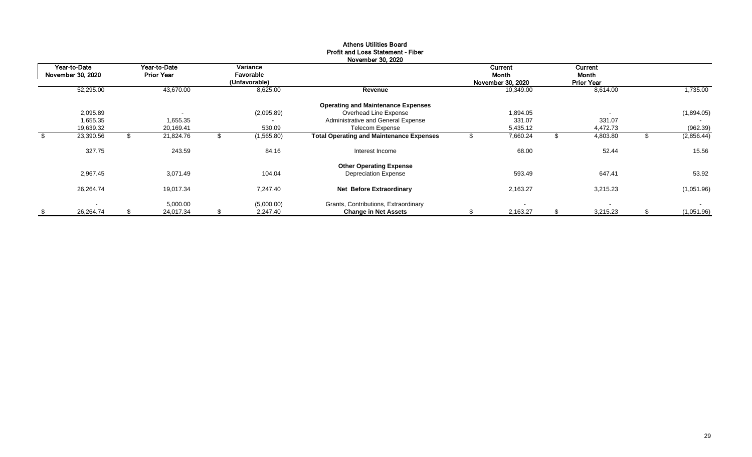|                                   |                                   |                                        | <b>INUVERTIVEL JU, ZUZU</b>                     |                                       |                                              |                  |
|-----------------------------------|-----------------------------------|----------------------------------------|-------------------------------------------------|---------------------------------------|----------------------------------------------|------------------|
| Year-to-Date<br>November 30, 2020 | Year-to-Date<br><b>Prior Year</b> | Variance<br>Favorable<br>(Unfavorable) |                                                 | Current<br>Month<br>November 30, 2020 | <b>Current</b><br>Month<br><b>Prior Year</b> |                  |
| 52,295.00                         | 43,670.00                         | 8,625.00                               | Revenue                                         | 10,349.00                             | 8,614.00                                     | 1,735.00         |
|                                   |                                   |                                        | <b>Operating and Maintenance Expenses</b>       |                                       |                                              |                  |
| 2,095.89                          | $\overline{\phantom{a}}$          | (2,095.89)                             | Overhead Line Expense                           | 1,894.05                              |                                              | (1,894.05)       |
| 1,655.35                          | 1,655.35                          | $\blacksquare$                         | Administrative and General Expense              | 331.07                                | 331.07                                       |                  |
| 19,639.32                         | 20,169.41                         | 530.09                                 | Telecom Expense                                 | 5,435.12                              | 4,472.73                                     | (962.39)         |
| \$<br>23,390.56                   | 21,824.76                         | (1,565.80)                             | <b>Total Operating and Maintenance Expenses</b> | 7,660.24                              | 4,803.80                                     | (2,856.44)       |
| 327.75                            | 243.59                            | 84.16                                  | Interest Income                                 | 68.00                                 | 52.44                                        | 15.56            |
|                                   |                                   |                                        | <b>Other Operating Expense</b>                  |                                       |                                              |                  |
| 2,967.45                          | 3,071.49                          | 104.04                                 | <b>Depreciation Expense</b>                     | 593.49                                | 647.41                                       | 53.92            |
| 26,264.74                         | 19,017.34                         | 7,247.40                               | Net Before Extraordinary                        | 2,163.27                              | 3,215.23                                     | (1,051.96)       |
|                                   | 5,000.00                          | (5,000.00)                             | Grants, Contributions, Extraordinary            |                                       | $\sim$                                       | $\sim$           |
| \$<br>26,264.74                   | \$<br>24,017.34                   | \$<br>2,247.40                         | <b>Change in Net Assets</b>                     | 2,163.27                              | \$<br>3,215.23                               | \$<br>(1,051.96) |

#### Athens Utilities Board Profit and Loss Statement - Fiber November 30, 2020